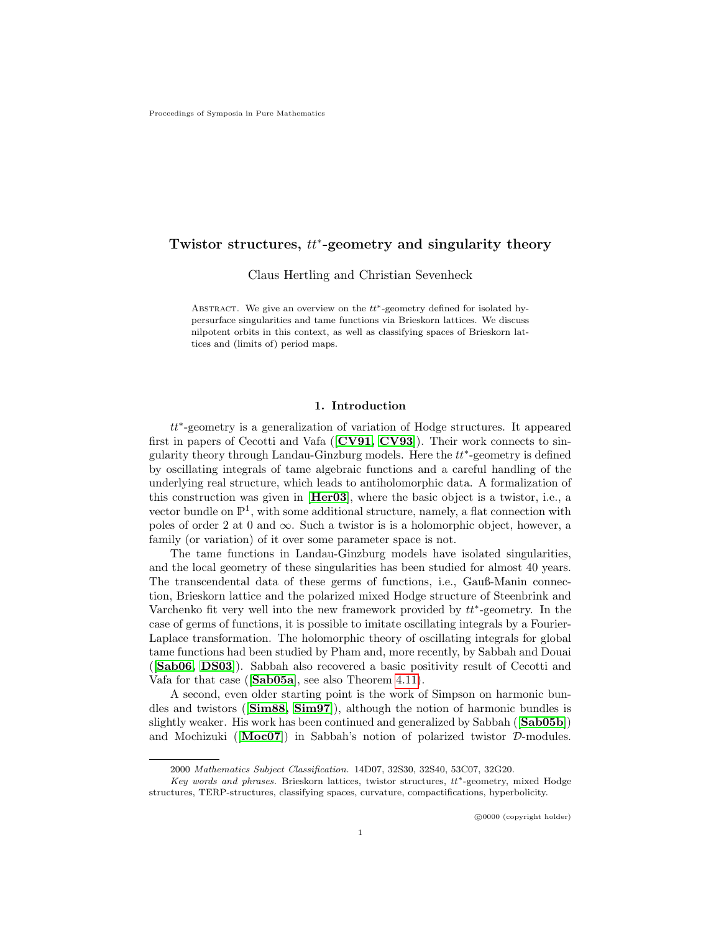# Twistor structures,  $tt^*$ -geometry and singularity theory

Claus Hertling and Christian Sevenheck

ABSTRACT. We give an overview on the  $tt^*$ -geometry defined for isolated hypersurface singularities and tame functions via Brieskorn lattices. We discuss nilpotent orbits in this context, as well as classifying spaces of Brieskorn lattices and (limits of) period maps.

# 1. Introduction

tt∗ -geometry is a generalization of variation of Hodge structures. It appeared first in papers of Cecotti and Vafa  $([CV91, CV93])$  $([CV91, CV93])$  $([CV91, CV93])$  $([CV91, CV93])$ . Their work connects to singularity theory through Landau-Ginzburg models. Here the  $tt^*$ -geometry is defined by oscillating integrals of tame algebraic functions and a careful handling of the underlying real structure, which leads to antiholomorphic data. A formalization of this construction was given in [[Her03](#page-23-2)], where the basic object is a twistor, i.e., a vector bundle on  $\mathbb{P}^1$ , with some additional structure, namely, a flat connection with poles of order 2 at 0 and  $\infty$ . Such a twistor is is a holomorphic object, however, a family (or variation) of it over some parameter space is not.

The tame functions in Landau-Ginzburg models have isolated singularities, and the local geometry of these singularities has been studied for almost 40 years. The transcendental data of these germs of functions, i.e., Gauß-Manin connection, Brieskorn lattice and the polarized mixed Hodge structure of Steenbrink and Varchenko fit very well into the new framework provided by  $tt^*$ -geometry. In the case of germs of functions, it is possible to imitate oscillating integrals by a Fourier-Laplace transformation. The holomorphic theory of oscillating integrals for global tame functions had been studied by Pham and, more recently, by Sabbah and Douai ([[Sab06,](#page-24-0) [DS03](#page-23-3)]). Sabbah also recovered a basic positivity result of Cecotti and Vafa for that case ([[Sab05a](#page-24-1)], see also Theorem [4.11\)](#page-11-0).

A second, even older starting point is the work of Simpson on harmonic bundles and twistors ([[Sim88,](#page-24-2) [Sim97](#page-24-3)]), although the notion of harmonic bundles is slightly weaker. His work has been continued and generalized by Sabbah (Sabo5b)) and Mochizuki ( $[Moc07]$  $[Moc07]$  $[Moc07]$ ) in Sabbah's notion of polarized twistor  $D$ -modules.

<sup>2000</sup> Mathematics Subject Classification. 14D07, 32S30, 32S40, 53C07, 32G20.

Key words and phrases. Brieskorn lattices, twistor structures, tt∗-geometry, mixed Hodge structures, TERP-structures, classifying spaces, curvature, compactifications, hyperbolicity.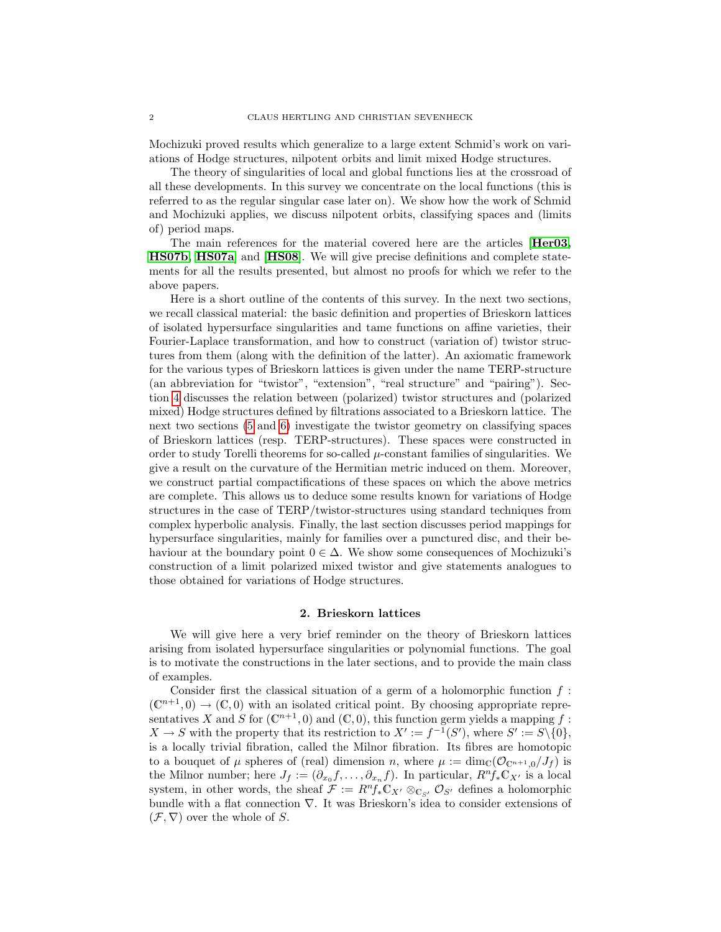Mochizuki proved results which generalize to a large extent Schmid's work on variations of Hodge structures, nilpotent orbits and limit mixed Hodge structures.

The theory of singularities of local and global functions lies at the crossroad of all these developments. In this survey we concentrate on the local functions (this is referred to as the regular singular case later on). We show how the work of Schmid and Mochizuki applies, we discuss nilpotent orbits, classifying spaces and (limits of) period maps.

The main references for the material covered here are the articles [[Her03,](#page-23-2) [HS07b,](#page-23-4) [HS07a](#page-23-5)] and [[HS08](#page-23-6)]. We will give precise definitions and complete statements for all the results presented, but almost no proofs for which we refer to the above papers.

Here is a short outline of the contents of this survey. In the next two sections, we recall classical material: the basic definition and properties of Brieskorn lattices of isolated hypersurface singularities and tame functions on affine varieties, their Fourier-Laplace transformation, and how to construct (variation of) twistor structures from them (along with the definition of the latter). An axiomatic framework for the various types of Brieskorn lattices is given under the name TERP-structure (an abbreviation for "twistor", "extension", "real structure" and "pairing"). Section [4](#page-8-0) discusses the relation between (polarized) twistor structures and (polarized mixed) Hodge structures defined by filtrations associated to a Brieskorn lattice. The next two sections [\(5](#page-11-1) and [6\)](#page-15-0) investigate the twistor geometry on classifying spaces of Brieskorn lattices (resp. TERP-structures). These spaces were constructed in order to study Torelli theorems for so-called  $\mu$ -constant families of singularities. We give a result on the curvature of the Hermitian metric induced on them. Moreover, we construct partial compactifications of these spaces on which the above metrics are complete. This allows us to deduce some results known for variations of Hodge structures in the case of TERP/twistor-structures using standard techniques from complex hyperbolic analysis. Finally, the last section discusses period mappings for hypersurface singularities, mainly for families over a punctured disc, and their behaviour at the boundary point  $0 \in \Delta$ . We show some consequences of Mochizuki's construction of a limit polarized mixed twistor and give statements analogues to those obtained for variations of Hodge structures.

# 2. Brieskorn lattices

<span id="page-1-0"></span>We will give here a very brief reminder on the theory of Brieskorn lattices arising from isolated hypersurface singularities or polynomial functions. The goal is to motivate the constructions in the later sections, and to provide the main class of examples.

Consider first the classical situation of a germ of a holomorphic function  $f$ :  $(\mathbb{C}^{n+1},0) \to (\mathbb{C},0)$  with an isolated critical point. By choosing appropriate representatives X and S for  $(\mathbb{C}^{n+1},0)$  and  $(\mathbb{C},0)$ , this function germ yields a mapping f:  $X \to S$  with the property that its restriction to  $X' := f^{-1}(S')$ , where  $S' := S \setminus \{0\}$ , is a locally trivial fibration, called the Milnor fibration. Its fibres are homotopic to a bouquet of  $\mu$  spheres of (real) dimension n, where  $\mu := \dim_{\mathbb{C}}(\mathcal{O}_{\mathbb{C}^{n+1},0}/J_f)$  is the Milnor number; here  $J_f := (\partial_{x_0} f, \dots, \partial_{x_n} f)$ . In particular,  $R^n f_* \mathbb{C}_{X'}$  is a local system, in other words, the sheaf  $\mathcal{F} := R^n f_* \mathbb{C}_{X'} \otimes_{\mathbb{C}_{S'}} \mathcal{O}_{S'}$  defines a holomorphic bundle with a flat connection  $\nabla$ . It was Brieskorn's idea to consider extensions of  $(\mathcal{F}, \nabla)$  over the whole of S.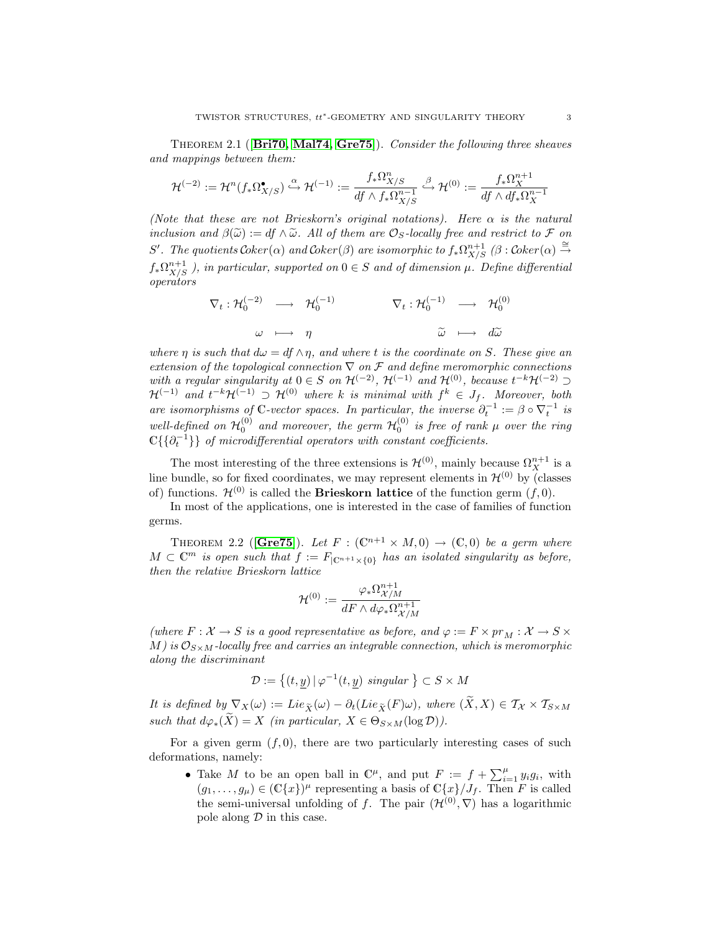THEOREM 2.1 ( $\overline{Br}$ 170, [Mal74,](#page-24-6) [Gre75](#page-23-8)). Consider the following three sheaves and mappings between them:

$$
\mathcal{H}^{(-2)}:=\mathcal{H}^n(f_*\Omega_{X/S}^\bullet)\xrightarrow[]{\alpha} \mathcal{H}^{(-1)}:=\frac{f_*\Omega_{X/S}^n}{df\wedge f_*\Omega_{X/S}^{n-1}}\xrightarrow[]{\beta} \mathcal{H}^{(0)}:=\frac{f_*\Omega_X^{n+1}}{df\wedge df_*\Omega_X^{n-1}}
$$

(Note that these are not Brieskorn's original notations). Here  $\alpha$  is the natural inclusion and  $\beta(\tilde{\omega}) := df \wedge \tilde{\omega}$ . All of them are  $\mathcal{O}_S$ -locally free and restrict to F on S'. The quotients  $Coker(\alpha)$  and  $Coker(\beta)$  are isomorphic to  $f_*\Omega_{X/S}^{n+1}$  ( $\beta$ :  $Coker(\alpha) \stackrel{\cong}{\rightarrow}$  $f_*\Omega^{n+1}_{X/S}$ ), in particular, supported on  $0 \in S$  and of dimension  $\mu$ . Define differential operators

$$
\nabla_t : \mathcal{H}_0^{(-2)} \longrightarrow \mathcal{H}_0^{(-1)} \qquad \nabla_t : \mathcal{H}_0^{(-1)} \longrightarrow \mathcal{H}_0^{(0)}
$$
  

$$
\omega \longmapsto \eta \qquad \qquad \widetilde{\omega} \longmapsto d\widetilde{\omega}
$$

where  $\eta$  is such that  $d\omega = df \wedge \eta$ , and where t is the coordinate on S. These give an extension of the topological connection  $\nabla$  on F and define meromorphic connections with a regular singularity at  $0 \in S$  on  $\mathcal{H}^{(-2)}$ ,  $\mathcal{H}^{(-1)}$  and  $\mathcal{H}^{(0)}$ , because  $t^{-k}\mathcal{H}^{(-2)}$  $\mathcal{H}^{(-1)}$  and  $t^{-k}\mathcal{H}^{(-1)} \supset \mathcal{H}^{(0)}$  where k is minimal with  $f^k \in J_f$ . Moreover, both are isomorphisms of C-vector spaces. In particular, the inverse  $\partial_t^{-1} := \beta \circ \nabla_t^{-1}$  is well-defined on  $\mathcal{H}_0^{(0)}$  and moreover, the germ  $\mathcal{H}_0^{(0)}$  is free of rank  $\mu$  over the ring  $\mathbb{C}\{\{\partial_t^{-1}\}\}\,$  of microdifferential operators with constant coefficients.

The most interesting of the three extensions is  $\mathcal{H}^{(0)}$ , mainly because  $\Omega_X^{n+1}$  is a line bundle, so for fixed coordinates, we may represent elements in  $\mathcal{H}^{(0)}$  by (classes of) functions.  $\mathcal{H}^{(0)}$  is called the **Brieskorn lattice** of the function germ  $(f, 0)$ .

In most of the applications, one is interested in the case of families of function germs.

THEOREM 2.2 ([[Gre75](#page-23-8)]). Let  $F : (\mathbb{C}^{n+1} \times M, 0) \to (\mathbb{C}, 0)$  be a germ where  $M \subset \mathbb{C}^m$  is open such that  $f := F_{\vert \mathbb{C}^{n+1} \times \{0\}}$  has an isolated singularity as before, then the relative Brieskorn lattice

$$
\mathcal{H}^{(0)}:=\frac{\varphi_*\Omega^{n+1}_{\mathcal{X}/M}}{dF\wedge d\varphi_*\Omega^{n+1}_{\mathcal{X}/M}}
$$

(where  $F: \mathcal{X} \to S$  is a good representative as before, and  $\varphi := F \times pr_M : \mathcal{X} \to S \times F$ M) is  $\mathcal{O}_{S \times M}$ -locally free and carries an integrable connection, which is meromorphic along the discriminant

$$
\mathcal{D} := \{(t, y) \mid \varphi^{-1}(t, y) \text{ singular } \} \subset S \times M
$$

It is defined by  $\nabla_X(\omega) := Lie_{\widetilde{X}}(\omega) - \partial_t(Lie_{\widetilde{X}}(F)\omega)$ , where  $(\widetilde{X},X) \in \mathcal{T}_{X} \times \mathcal{T}_{S \times M}$ such that  $d\varphi_*(\widetilde{X}) = X$  (in particular,  $X \in \Theta_{S \times M}(\log \mathcal{D})$ ).

For a given germ  $(f, 0)$ , there are two particularly interesting cases of such deformations, namely:

• Take M to be an open ball in  $\mathbb{C}^{\mu}$ , and put  $F := f + \sum_{i=1}^{\mu} y_i g_i$ , with  $(g_1, \ldots, g_\mu) \in (\mathbb{C}\{x\})^\mu$  representing a basis of  $\mathbb{C}\{x\}/J_f$ . Then F is called the semi-universal unfolding of f. The pair  $(\mathcal{H}^{(0)}, \nabla)$  has a logarithmic pole along  $\mathcal D$  in this case.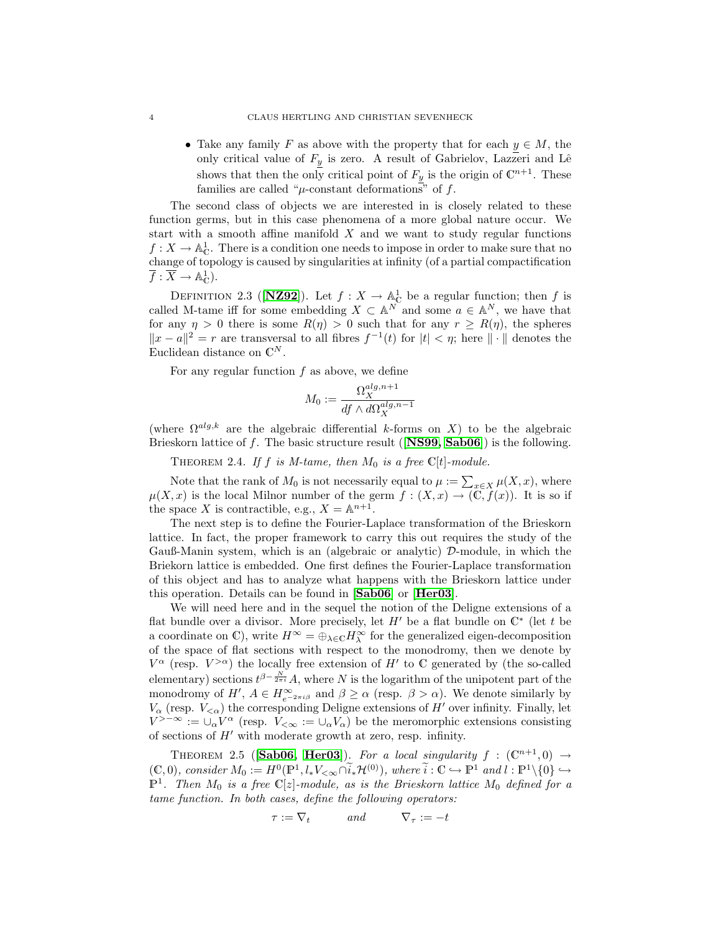• Take any family F as above with the property that for each  $y \in M$ , the only critical value of  $F_y$  is zero. A result of Gabrielov, Lazzeri and Lê shows that then the only critical point of  $F_y$  is the origin of  $\mathbb{C}^{n+1}$ . These families are called " $\mu$ -constant deformations" of f.

The second class of objects we are interested in is closely related to these function germs, but in this case phenomena of a more global nature occur. We start with a smooth affine manifold  $X$  and we want to study regular functions  $f: X \to \mathbb{A}_{\mathbb{C}}^1$ . There is a condition one needs to impose in order to make sure that no change of topology is caused by singularities at infinity (of a partial compactification  $\overline{f} : \overline{X} \to \mathbb{A}_{\mathbb{C}}^1$ .

DEFINITION 2.3 ([**[NZ92](#page-24-7)**]). Let  $f: X \to \mathbb{A}_{\mathbb{C}}^1$  be a regular function; then f is called M-tame iff for some embedding  $X \subset \mathbb{A}^N$  and some  $a \in \mathbb{A}^N$ , we have that for any  $\eta > 0$  there is some  $R(\eta) > 0$  such that for any  $r \geq R(\eta)$ , the spheres  $||x - a||^2 = r$  are transversal to all fibres  $f^{-1}(t)$  for  $|t| < \eta$ ; here  $|| \cdot ||$  denotes the Euclidean distance on  $\mathbb{C}^N$ .

For any regular function  $f$  as above, we define

$$
M_0 := \frac{\Omega_X^{alg, n+1}}{df \wedge d\Omega_X^{alg, n-1}}
$$

(where  $\Omega^{alg,k}$  are the algebraic differential k-forms on X) to be the algebraic Brieskorn lattice of f. The basic structure result ( $[NS99, Sab06]$  $[NS99, Sab06]$  $[NS99, Sab06]$  $[NS99, Sab06]$ ) is the following.

THEOREM 2.4. If f is M-tame, then  $M_0$  is a free  $\mathbb{C}[t]$ -module.

Note that the rank of  $M_0$  is not necessarily equal to  $\mu := \sum_{x \in X} \mu(X, x)$ , where  $\mu(X, x)$  is the local Milnor number of the germ  $f : (X, x) \to (\widetilde{C}, \widetilde{f}(x))$ . It is so if the space X is contractible, e.g.,  $X = \mathbb{A}^{n+1}$ .

The next step is to define the Fourier-Laplace transformation of the Brieskorn lattice. In fact, the proper framework to carry this out requires the study of the Gauß-Manin system, which is an (algebraic or analytic)  $\mathcal{D}$ -module, in which the Briekorn lattice is embedded. One first defines the Fourier-Laplace transformation of this object and has to analyze what happens with the Brieskorn lattice under this operation. Details can be found in [[Sab06](#page-24-0)] or [[Her03](#page-23-2)].

We will need here and in the sequel the notion of the Deligne extensions of a flat bundle over a divisor. More precisely, let  $H'$  be a flat bundle on  $\mathbb{C}^*$  (let t be a coordinate on  $\mathbb{C}$ ), write  $H^{\infty} = \bigoplus_{\lambda \in \mathbb{C}} H^{\infty}_{\lambda}$  for the generalized eigen-decomposition of the space of flat sections with respect to the monodromy, then we denote by  $V^{\alpha}$  (resp.  $V^{>\alpha}$ ) the locally free extension of H' to C generated by (the so-called elementary) sections  $t^{\beta-\frac{N}{2\pi i}}A$ , where N is the logarithm of the unipotent part of the monodromy of  $H'$ ,  $A \in H_{e^{-2\pi i\beta}}^{\infty}$  and  $\beta \geq \alpha$  (resp.  $\beta > \alpha$ ). We denote similarly by  $V_{\alpha}$  (resp.  $V_{\leq \alpha}$ ) the corresponding Deligne extensions of H' over infinity. Finally, let  $V^{>-\infty} := \cup_{\alpha} V^{\alpha}$  (resp.  $V_{\leq \infty} := \cup_{\alpha} V_{\alpha}$ ) be the meromorphic extensions consisting of sections of  $H'$  with moderate growth at zero, resp. infinity.

THEOREM 2.5 ([Sab06,](#page-24-0) [Her03](#page-23-2)). For a local singularity  $f : (\mathbb{C}^{n+1},0) \rightarrow$  $(C, 0)$ , consider  $M_0 := H^0(\mathbb{P}^1, l_*V_{\leq \infty} \cap \tilde{i}_* \mathcal{H}^{(0)})$ , where  $\tilde{i}: \mathbb{C} \hookrightarrow \mathbb{P}^1$  and  $l: \mathbb{P}^1 \setminus \{0\} \hookrightarrow$  $\mathbb{P}^1$ . Then  $M_0$  is a free  $\mathbb{C}[z]$ -module, as is the Brieskorn lattice  $M_0$  defined for a tame function. In both cases, define the following operators:

$$
\tau := \nabla_t \qquad \text{and} \qquad \nabla_\tau := -t
$$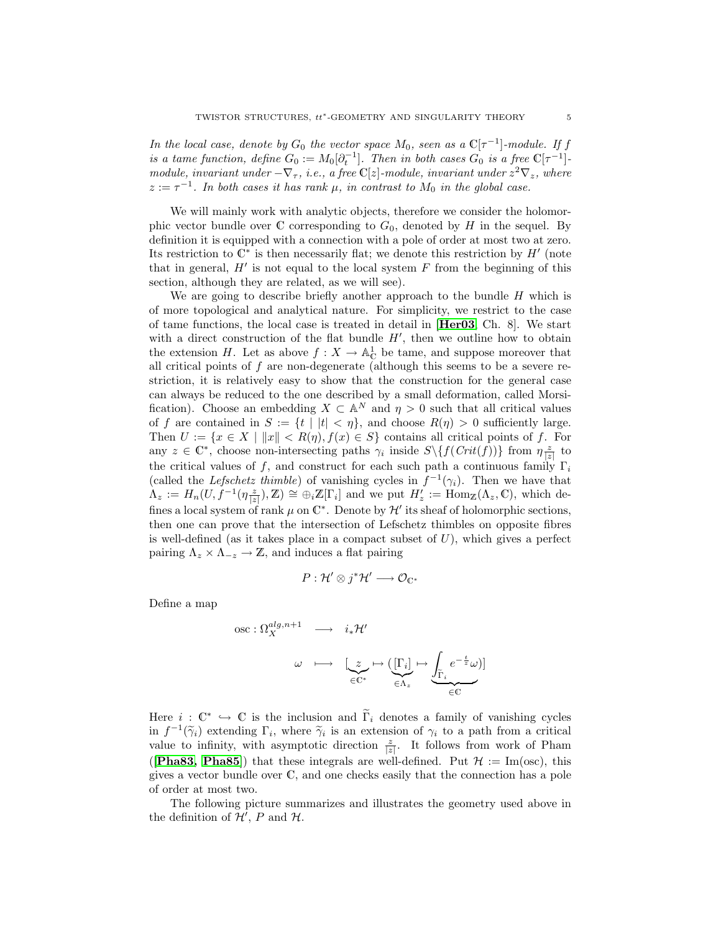In the local case, denote by  $G_0$  the vector space  $M_0$ , seen as a  $\mathbb{C}[\tau^{-1}]$ -module. If f is a tame function, define  $G_0 := M_0[\partial_t^{-1}]$ . Then in both cases  $G_0$  is a free  $\mathbb{C}[\tau^{-1}]$ module, invariant under  $-\nabla_{\tau}$ , i.e., a free C[z]-module, invariant under  $z^2 \nabla_z$ , where  $z := \tau^{-1}$ . In both cases it has rank  $\mu$ , in contrast to  $M_0$  in the global case.

We will mainly work with analytic objects, therefore we consider the holomorphic vector bundle over  $\mathbb C$  corresponding to  $G_0$ , denoted by H in the sequel. By definition it is equipped with a connection with a pole of order at most two at zero. Its restriction to  $\mathbb{C}^*$  is then necessarily flat; we denote this restriction by  $H'$  (note that in general,  $H'$  is not equal to the local system  $F$  from the beginning of this section, although they are related, as we will see).

We are going to describe briefly another approach to the bundle  $H$  which is of more topological and analytical nature. For simplicity, we restrict to the case of tame functions, the local case is treated in detail in [[Her03](#page-23-2), Ch. 8]. We start with a direct construction of the flat bundle  $H'$ , then we outline how to obtain the extension H. Let as above  $f: X \to \mathbb{A}_{\mathbb{C}}^1$  be tame, and suppose moreover that all critical points of  $f$  are non-degenerate (although this seems to be a severe restriction, it is relatively easy to show that the construction for the general case can always be reduced to the one described by a small deformation, called Morsification). Choose an embedding  $X \subset \mathbb{A}^N$  and  $\eta > 0$  such that all critical values of f are contained in  $S := \{t \mid |t| < \eta\}$ , and choose  $R(\eta) > 0$  sufficiently large. Then  $U := \{x \in X \mid ||x|| < R(\eta), f(x) \in S\}$  contains all critical points of f. For any  $z \in \mathbb{C}^*$ , choose non-intersecting paths  $\gamma_i$  inside  $S \setminus \{f(Crit(f))\}$  from  $\eta \frac{z}{|z|}$  to the critical values of f, and construct for each such path a continuous family  $\Gamma_i$ (called the *Lefschetz thimble*) of vanishing cycles in  $f^{-1}(\gamma_i)$ . Then we have that  $\Lambda_z := H_n(U, \dot{f}^{-1}(\eta \frac{z}{|z|}), \mathbb{Z}) \cong \bigoplus_i \mathbb{Z}[\Gamma_i]$  and we put  $H'_z := \text{Hom}_{\mathbb{Z}}(\Lambda_z, \mathbb{C}),$  which defines a local system of rank  $\mu$  on  $\mathbb{C}^*$ . Denote by  $\mathcal{H}'$  its sheaf of holomorphic sections, then one can prove that the intersection of Lefschetz thimbles on opposite fibres is well-defined (as it takes place in a compact subset of  $U$ ), which gives a perfect pairing  $\Lambda_z \times \Lambda_{-z} \to \mathbb{Z}$ , and induces a flat pairing

$$
P: \mathcal{H}' \otimes j^* \mathcal{H}' \longrightarrow \mathcal{O}_{\mathbb{C}^*}
$$

Define a map

$$
\begin{array}{cccc}\n\text{osc}: \Omega^{alg,n+1}_X & \longrightarrow & i_*\mathcal{H}' \\
& \omega & \longmapsto & \underbrace{\big(\underline{r}_i\big)}_{\in \mathbb{C}^*} \mapsto \underbrace{\big(\underline{\Gamma}_i\big)}_{\in \Lambda_z} \mapsto \underbrace{\int_{\widetilde{\Gamma}_i} e^{-\frac{t}{z}} \omega}_{\in \mathbb{C}})\n\end{array}
$$

Here  $i: \mathbb{C}^* \hookrightarrow \mathbb{C}$  is the inclusion and  $\widetilde{\Gamma}_i$  denotes a family of vanishing cycles in  $f^{-1}(\tilde{\gamma}_i)$  extending  $\Gamma_i$ , where  $\tilde{\gamma}_i$  is an extension of  $\gamma_i$  to a path from a critical<br>unlus to infinity with asymptotic direction  $\tilde{\epsilon}$ . It follows from work of Pham value to infinity, with asymptotic direction  $\frac{z}{|z|}$ . It follows from work of Pham ([**[Pha83,](#page-24-9) [Pha85](#page-24-10)**]) that these integrals are well-defined. Put  $\mathcal{H} := \text{Im}(\text{osc})$ , this gives a vector bundle over C, and one checks easily that the connection has a pole of order at most two.

The following picture summarizes and illustrates the geometry used above in the definition of  $\mathcal{H}'$ , P and  $\mathcal{H}$ .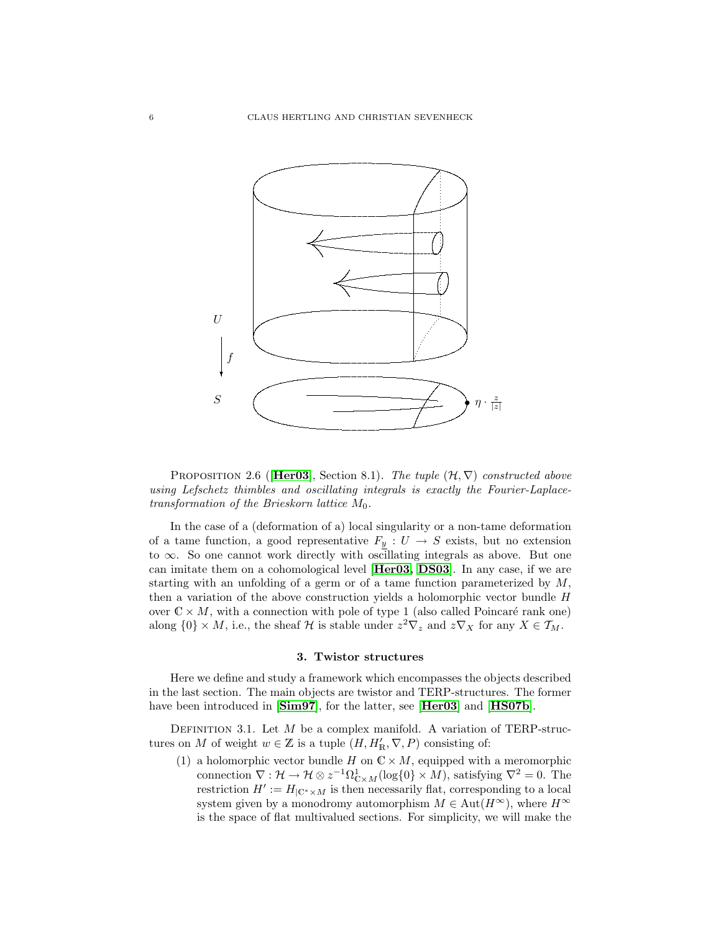

PROPOSITION 2.6 ([[Her03](#page-23-2)], Section 8.1). The tuple  $(\mathcal{H}, \nabla)$  constructed above using Lefschetz thimbles and oscillating integrals is exactly the Fourier-Laplacetransformation of the Brieskorn lattice  $M_0$ .

In the case of a (deformation of a) local singularity or a non-tame deformation of a tame function, a good representative  $F_{\underline{y}}$  :  $U$   $\rightarrow$   $S$  exists, but no extension to ∞. So one cannot work directly with oscillating integrals as above. But one can imitate them on a cohomological level [[Her03,](#page-23-2) [DS03](#page-23-3)]. In any case, if we are starting with an unfolding of a germ or of a tame function parameterized by  $M$ , then a variation of the above construction yields a holomorphic vector bundle H over  $\mathbb{C} \times M$ , with a connection with pole of type 1 (also called Poincaré rank one) along  $\{0\} \times M$ , i.e., the sheaf H is stable under  $z^2 \nabla_z$  and  $z \nabla_X$  for any  $X \in \mathcal{T}_M$ .

## 3. Twistor structures

<span id="page-5-1"></span>Here we define and study a framework which encompasses the objects described in the last section. The main objects are twistor and TERP-structures. The former have been introduced in [[Sim97](#page-24-3)], for the latter, see [[Her03](#page-23-2)] and [[HS07b](#page-23-4)].

<span id="page-5-0"></span>DEFINITION 3.1. Let  $M$  be a complex manifold. A variation of TERP-structures on M of weight  $w \in \mathbb{Z}$  is a tuple  $(H, H'_{\mathbb{R}}, \nabla, P)$  consisting of:

(1) a holomorphic vector bundle H on  $\mathbb{C} \times M$ , equipped with a meromorphic connection  $\nabla : \mathcal{H} \to \mathcal{H} \otimes z^{-1} \Omega_{\mathbb{C} \times M}^1(\log\{0\} \times M)$ , satisfying  $\nabla^2 = 0$ . The restriction  $H' := H_{\vert \mathbb{C}^* \times M}$  is then necessarily flat, corresponding to a local system given by a monodromy automorphism  $M \in \text{Aut}(H^{\infty})$ , where  $H^{\infty}$ is the space of flat multivalued sections. For simplicity, we will make the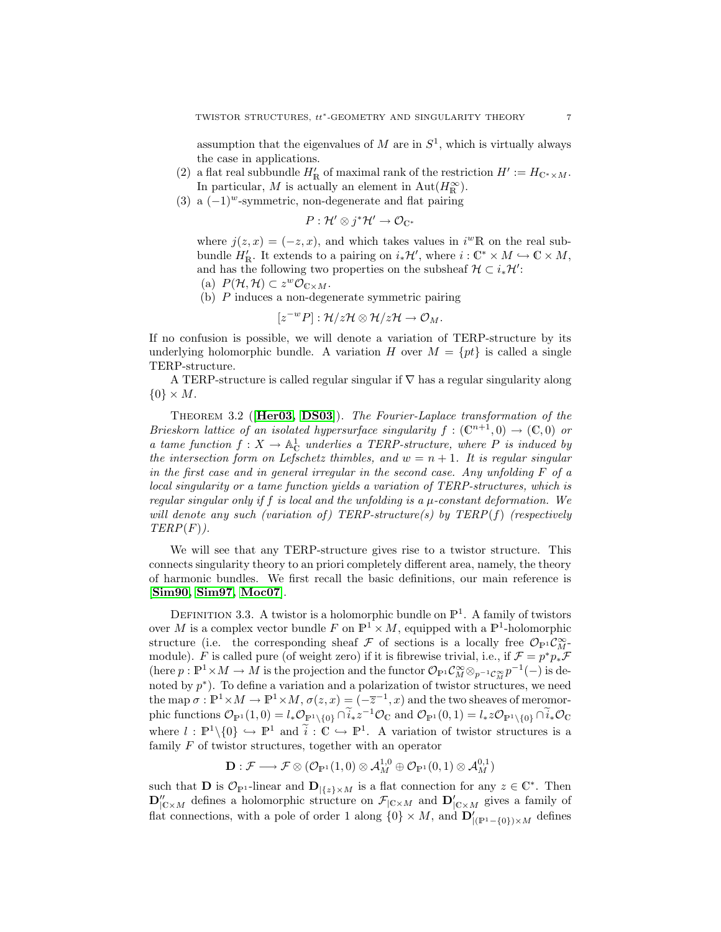assumption that the eigenvalues of  $M$  are in  $S<sup>1</sup>$ , which is virtually always the case in applications.

- (2) a flat real subbundle  $H'_{\mathbb{R}}$  of maximal rank of the restriction  $H' := H_{\mathbb{C}^* \times M}$ . In particular, M is actually an element in Aut $(H_{\mathbb{R}}^{\infty})$ .
- (3) a  $(-1)^{w}$ -symmetric, non-degenerate and flat pairing

$$
P: \mathcal{H}' \otimes j^* \mathcal{H}' \to \mathcal{O}_{\mathbb{C}^*}
$$

where  $j(z, x) = (-z, x)$ , and which takes values in  $i^w \mathbb{R}$  on the real subbundle  $H'_{\mathbb{R}}$ . It extends to a pairing on  $i_*\mathcal{H}'$ , where  $i: \mathbb{C}^* \times M \hookrightarrow \mathbb{C} \times M$ , and has the following two properties on the subsheaf  $\mathcal{H} \subset i_*\mathcal{H}'$ :

- (a)  $P(\mathcal{H}, \mathcal{H}) \subset z^w \mathcal{O}_{\mathbb{C} \times M}.$
- (b) P induces a non-degenerate symmetric pairing

$$
[z^{-w}P]:\mathcal{H}/z\mathcal{H}\otimes\mathcal{H}/z\mathcal{H}\to\mathcal{O}_M.
$$

If no confusion is possible, we will denote a variation of TERP-structure by its underlying holomorphic bundle. A variation H over  $M = \{pt\}$  is called a single TERP-structure.

A TERP-structure is called regular singular if  $\nabla$  has a regular singularity along  $\{0\} \times M$ .

THEOREM 3.2 ( $[Her03, DS03]$  $[Her03, DS03]$  $[Her03, DS03]$  $[Her03, DS03]$ ). The Fourier-Laplace transformation of the Brieskorn lattice of an isolated hypersurface singularity  $f : (\mathbb{C}^{n+1},0) \to (\mathbb{C},0)$  or a tame function  $f: X \to \mathbb{A}^1_{\mathbb{C}}$  underlies a TERP-structure, where P is induced by the intersection form on Lefschetz thimbles, and  $w = n + 1$ . It is regular singular in the first case and in general irregular in the second case. Any unfolding  $F$  of a local singularity or a tame function yields a variation of TERP-structures, which is regular singular only if f is local and the unfolding is a  $\mu$ -constant deformation. We will denote any such (variation of) TERP-structure(s) by TERP(f) (respectively  $TERP(F)$ .

We will see that any TERP-structure gives rise to a twistor structure. This connects singularity theory to an priori completely different area, namely, the theory of harmonic bundles. We first recall the basic definitions, our main reference is [[Sim90,](#page-24-11) [Sim97,](#page-24-3) [Moc07](#page-24-5)].

DEFINITION 3.3. A twistor is a holomorphic bundle on  $\mathbb{P}^1$ . A family of twistors over M is a complex vector bundle F on  $\mathbb{P}^1 \times M$ , equipped with a  $\mathbb{P}^1$ -holomorphic structure (i.e. the corresponding sheaf  $\mathcal F$  of sections is a locally free  $\mathcal O_{\mathbb P^1}\mathcal C^\infty_M$ module). F is called pure (of weight zero) if it is fibrewise trivial, i.e., if  $\mathcal{F} = p^*p_*\mathcal{F}$ (here  $p: \mathbb{P}^1 \times M \to M$  is the projection and the functor  $\mathcal{O}_{\mathbb{P}^1}\mathcal{C}_M^{\infty} \otimes_{p^{-1}\mathcal{C}_M^{\infty}} p^{-1}(-)$  is denoted by  $p^*$ ). To define a variation and a polarization of twistor structures, we need the map  $\sigma : \mathbb{P}^1 \times M \to \mathbb{P}^1 \times M$ ,  $\sigma(z, x) = (-\overline{z}^{-1}, x)$  and the two sheaves of meromorphic functions  $\mathcal{O}_{\mathbb{P}^1}(1,0) = l_* \mathcal{O}_{\mathbb{P}^1 \setminus \{0\}} \cap \tilde{i}_* z^{-1} \mathcal{O}_{\mathbb{C}}$  and  $\mathcal{O}_{\mathbb{P}^1}(0,1) = l_* z \mathcal{O}_{\mathbb{P}^1 \setminus \{0\}} \cap \tilde{i}_* \mathcal{O}_{\mathbb{C}}$ where  $l : \mathbb{P}^1 \setminus \{0\} \hookrightarrow \mathbb{P}^1$  and  $\tilde{i} : \mathbb{C} \hookrightarrow \mathbb{P}^1$ . A variation of twistor structures is a family  $F$  of twistor structures, together with an operator

$$
\mathbf{D}:\mathcal{F}\longrightarrow \mathcal{F}\otimes (\mathcal{O}_{\mathbb{P}^1}(1,0)\otimes \mathcal{A}_M^{1,0}\oplus \mathcal{O}_{\mathbb{P}^1}(0,1)\otimes \mathcal{A}_M^{0,1})
$$

such that **D** is  $\mathcal{O}_{\mathbb{P}^1}$ -linear and  $\mathbf{D}_{|\{z\}\times M}$  is a flat connection for any  $z \in \mathbb{C}^*$ . Then  ${\bf D}''_{|C \times M}$  defines a holomorphic structure on  $\mathcal{F}_{|C \times M}$  and  ${\bf D}'_{|C \times M}$  gives a family of flat connections, with a pole of order 1 along  $\{0\} \times M$ , and  $\mathbf{D}'_{|(\mathbb{P}^1-\{0\})\times M}$  defines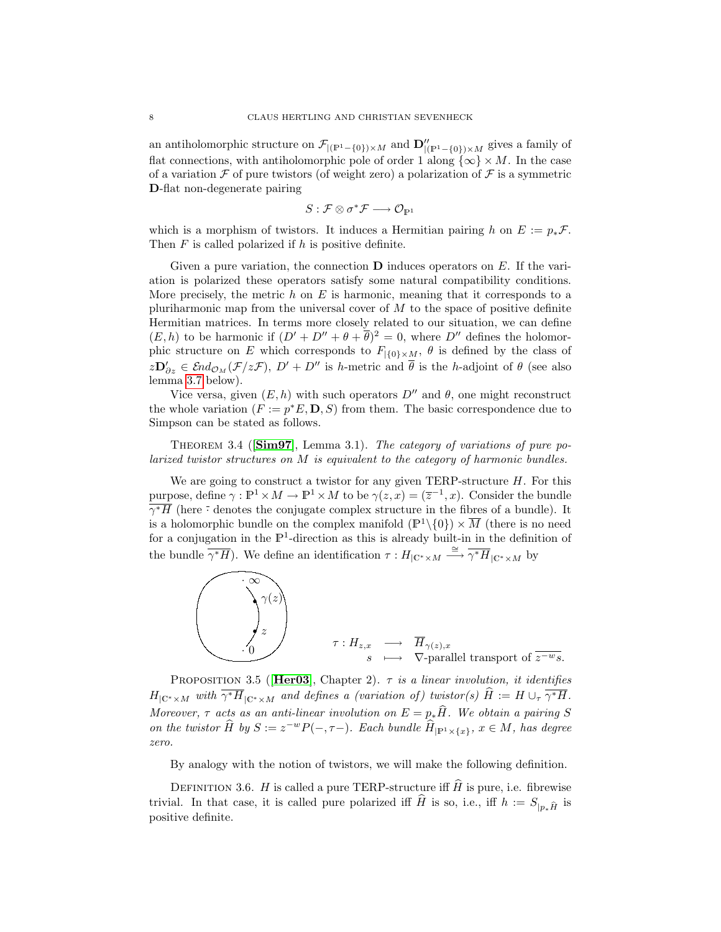an antiholomorphic structure on  $\mathcal{F}_{|(P^1-\{0\})\times M}$  and  $\mathbf{D}''_{|(P^1-\{0\})\times M}$  gives a family of flat connections, with antiholomorphic pole of order 1 along  $\{\infty\} \times M$ . In the case of a variation  $\mathcal F$  of pure twistors (of weight zero) a polarization of  $\mathcal F$  is a symmetric D-flat non-degenerate pairing

$$
S: \mathcal{F} \otimes \sigma^* \mathcal{F} \longrightarrow \mathcal{O}_{\mathbb{P}^1}
$$

which is a morphism of twistors. It induces a Hermitian pairing h on  $E := p_*\mathcal{F}$ . Then  $F$  is called polarized if  $h$  is positive definite.

Given a pure variation, the connection  $\bf{D}$  induces operators on E. If the variation is polarized these operators satisfy some natural compatibility conditions. More precisely, the metric h on E is harmonic, meaning that it corresponds to a pluriharmonic map from the universal cover of  $M$  to the space of positive definite Hermitian matrices. In terms more closely related to our situation, we can define  $(E, h)$  to be harmonic if  $(D' + D'' + \theta + \overline{\theta})^2 = 0$ , where  $D''$  defines the holomorphic structure on E which corresponds to  $F_{\vert {\{0\}\times M\}}$ ,  $\theta$  is defined by the class of  $z\mathbf{D}'_{\partial z} \in \mathcal{E}nd_{\mathcal{O}_M}(\mathcal{F}/z\mathcal{F}), D' + D''$  is h-metric and  $\overline{\theta}$  is the h-adjoint of  $\theta$  (see also lemma [3.7](#page-8-1) below).

Vice versa, given  $(E, h)$  with such operators  $D''$  and  $\theta$ , one might reconstruct the whole variation  $(F := p^*E, D, S)$  from them. The basic correspondence due to Simpson can be stated as follows.

THEOREM 3.4 ( $[\text{Sim97}]$  $[\text{Sim97}]$  $[\text{Sim97}]$ , Lemma 3.1). The category of variations of pure polarized twistor structures on M is equivalent to the category of harmonic bundles.

We are going to construct a twistor for any given TERP-structure  $H$ . For this purpose, define  $\gamma : \mathbb{P}^1 \times M \to \mathbb{P}^1 \times M$  to be  $\gamma(z, x) = (\overline{z}^{-1}, x)$ . Consider the bundle  $\overline{\gamma^*H}$  (here  $\overline{\cdot}$  denotes the conjugate complex structure in the fibres of a bundle). It is a holomorphic bundle on the complex manifold  $(\mathbb{P}^1 \setminus \{0\}) \times \overline{M}$  (there is no need for a conjugation in the  $\mathbb{P}^1$ -direction as this is already built-in in the definition of the bundle  $\overline{\gamma^*H}$ ). We define an identification  $\tau: H_{\vert \mathbb{C}^*\times M}\stackrel{\cong}{\longrightarrow}\overline{\gamma^*H}_{\vert \mathbb{C}^*\times M}$  by



<span id="page-7-0"></span>PROPOSITION 3.5 ([Her03](#page-23-2)), Chapter 2).  $\tau$  is a linear involution, it identifies  $H_{\vert \mathbb{C}^* \times M}$  with  $\overline{\gamma^* H}_{\vert \mathbb{C}^* \times M}$  and defines a (variation of) twistor(s)  $\overline{H} := H \cup_{\tau} \overline{\gamma^* H}$ . Moreover,  $\tau$  acts as an anti-linear involution on  $E = p_*\hat{H}$ . We obtain a pairing S on the twistor  $\widehat{H}$  by  $S := z^{-w}P(-, \tau-)$ . Each bundle  $\widehat{H}_{|\mathbb{P}^1 \times \{x\}}, x \in M$ , has degree zero.

By analogy with the notion of twistors, we will make the following definition.

DEFINITION 3.6. H is called a pure TERP-structure iff  $\hat{H}$  is pure, i.e. fibrewise trivial. In that case, it is called pure polarized iff  $\widehat{H}$  is so, i.e., iff  $h := S_{|p_*\widehat{H}}$  is positive definite.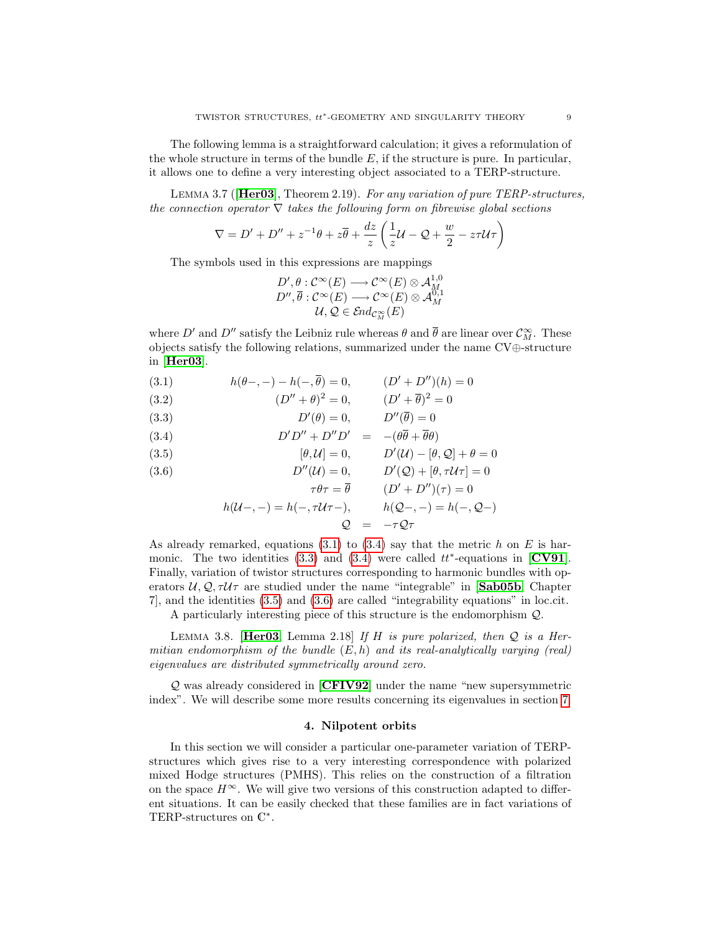The following lemma is a straightforward calculation; it gives a reformulation of the whole structure in terms of the bundle  $E$ , if the structure is pure. In particular, it allows one to define a very interesting object associated to a TERP-structure.

<span id="page-8-1"></span>Lemma 3.7 ([[Her03](#page-23-2)], Theorem 2.19). For any variation of pure TERP-structures, the connection operator  $\nabla$  takes the following form on fibrewise global sections

$$
\nabla = D' + D'' + z^{-1}\theta + z\overline{\theta} + \frac{dz}{z} \left(\frac{1}{z}\mathcal{U} - \mathcal{Q} + \frac{w}{2} - z\tau\mathcal{U}\tau\right)
$$

The symbols used in this expressions are mappings

$$
D', \theta: \mathcal{C}^{\infty}(E) \longrightarrow \mathcal{C}^{\infty}(E) \otimes \mathcal{A}^{1,0}_{M}
$$
  

$$
D'', \overline{\theta}: \mathcal{C}^{\infty}(E) \longrightarrow \mathcal{C}^{\infty}(E) \otimes \mathcal{A}^{0,1}_{M}
$$
  

$$
\mathcal{U}, \mathcal{Q} \in \mathcal{E}nd_{\mathcal{C}_M^{\infty}}(E)
$$

where D' and D'' satisfy the Leibniz rule whereas  $\theta$  and  $\bar{\theta}$  are linear over  $\mathcal{C}_M^{\infty}$ . These objects satisfy the following relations, summarized under the name CV⊕-structure in [[Her03](#page-23-2)].

- (3.1)  $h(\theta-,-) h(-,\overline{\theta}) = 0, \qquad (D' + D'')(h) = 0$
- <span id="page-8-2"></span>(3.2)  $(D'' + \theta)^2 = 0, \qquad (D' + \overline{\theta})^2 = 0$
- (3.3)  $D'(\theta) = 0, \qquad D''(\overline{\theta}) = 0$

(3.4) 
$$
D'D'' + D''D' = -(\theta \overline{\theta} + \overline{\theta}\theta)
$$

(3.5) 
$$
[\theta, \mathcal{U}] = 0, \qquad D'(\mathcal{U}) - [\theta, \mathcal{Q}] + \theta = 0
$$

(3.6) 
$$
D''(\mathcal{U}) = 0, \qquad D'(\mathcal{Q}) + [\theta, \tau \mathcal{U}\tau] = 0
$$

$$
\tau \theta \tau = \overline{\theta} \qquad (D' + D'')(\tau) = 0
$$
  
 
$$
h(\mathcal{U} - \tau) = h(-\tau \mathcal{U} \tau), \qquad h(\mathcal{Q} - \tau) = h(-\tau, \mathcal{Q} - \tau)
$$

$$
Q = -\tau Q \tau
$$

As already remarked, equations  $(3.1)$  to  $(3.4)$  say that the metric h on E is harmonic. The two identities  $(3.3)$  and  $(3.4)$  were called  $tt^*$ -equations in [[CV91](#page-23-0)]. Finally, variation of twistor structures corresponding to harmonic bundles with operators  $U, Q, \tau U \tau$  are studied under the name "integrable" in [[Sab05b](#page-24-4), Chapter 7], and the identities [\(3.5\)](#page-8-2) and [\(3.6\)](#page-8-2) are called "integrability equations" in loc.cit.

A particularly interesting piece of this structure is the endomorphism Q.

LEMMA 3.8. [[Her03](#page-23-2), Lemma 2.18] If H is pure polarized, then  $Q$  is a Hermitian endomorphism of the bundle  $(E, h)$  and its real-analytically varying (real) eigenvalues are distributed symmetrically around zero.

 $Q$  was already considered in  $[CFIV92]$  $[CFIV92]$  $[CFIV92]$  under the name "new supersymmetric index". We will describe some more results concerning its eigenvalues in section [7.](#page-21-0)

#### 4. Nilpotent orbits

<span id="page-8-0"></span>In this section we will consider a particular one-parameter variation of TERPstructures which gives rise to a very interesting correspondence with polarized mixed Hodge structures (PMHS). This relies on the construction of a filtration on the space  $H^{\infty}$ . We will give two versions of this construction adapted to different situations. It can be easily checked that these families are in fact variations of TERP-structures on  $\mathbb{C}^*$ .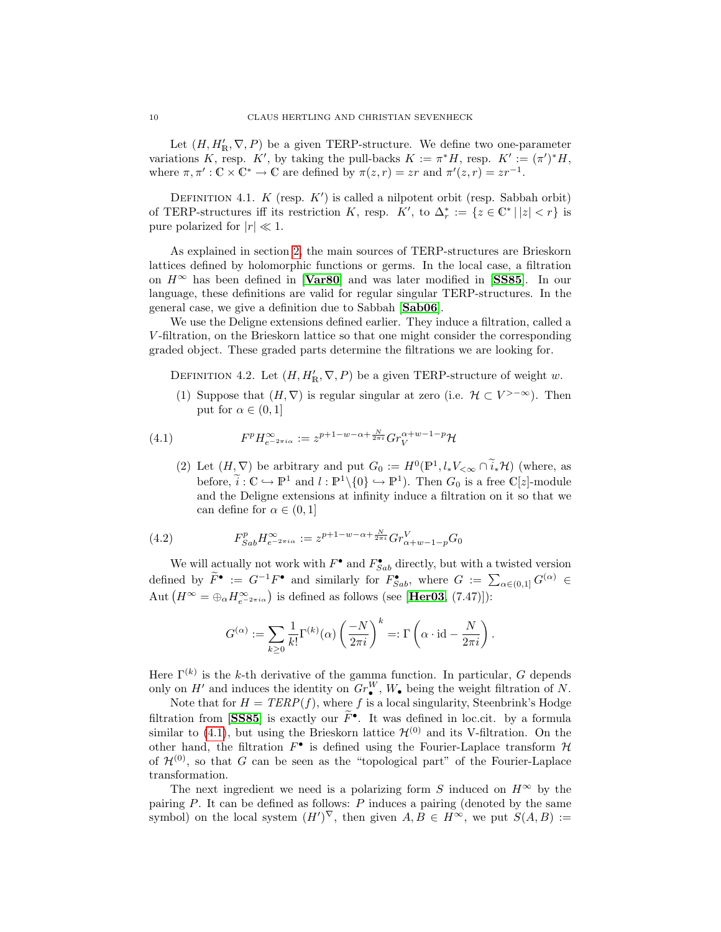Let  $(H, H'_{\mathbb{R}}, \nabla, P)$  be a given TERP-structure. We define two one-parameter variations K, resp. K', by taking the pull-backs  $K := \pi^* H$ , resp.  $K' := (\pi')^* H$ , where  $\pi, \pi': \mathbb{C} \times \mathbb{C}^* \to \mathbb{C}$  are defined by  $\pi(z, r) = zr$  and  $\pi'(z, r) = zr^{-1}$ .

DEFINITION 4.1.  $K$  (resp.  $K'$ ) is called a nilpotent orbit (resp. Sabbah orbit) of TERP-structures iff its restriction K, resp.  $K'$ , to  $\Delta_r^* := \{z \in \mathbb{C}^* \mid |z| < r\}$  is pure polarized for  $|r| \ll 1$ .

As explained in section [2,](#page-1-0) the main sources of TERP-structures are Brieskorn lattices defined by holomorphic functions or germs. In the local case, a filtration on  $H^{\infty}$  has been defined in [**[Var80](#page-24-12)**] and was later modified in [**[SS85](#page-24-13)**]. In our language, these definitions are valid for regular singular TERP-structures. In the general case, we give a definition due to Sabbah [[Sab06](#page-24-0)].

We use the Deligne extensions defined earlier. They induce a filtration, called a V -filtration, on the Brieskorn lattice so that one might consider the corresponding graded object. These graded parts determine the filtrations we are looking for.

DEFINITION 4.2. Let  $(H, H'_{\mathbb{R}}, \nabla, P)$  be a given TERP-structure of weight w.

(1) Suppose that  $(H, \nabla)$  is regular singular at zero (i.e.  $H \subset V^{>-\infty}$ ). Then put for  $\alpha \in (0,1]$ 

(4.1) 
$$
F^{p}H_{e^{-2\pi i\alpha}}^{\infty} := z^{p+1-w-\alpha+\frac{N}{2\pi i}}Gr_{V}^{\alpha+w-1-p}H
$$

<span id="page-9-0"></span>(2) Let  $(H, \nabla)$  be arbitrary and put  $G_0 := H^0(\mathbb{P}^1, l_*V_{\leq \infty} \cap \tilde{i}_*\mathcal{H})$  (where, as before,  $\widetilde{i}: \mathbb{C} \to \mathbb{P}^1$  and  $l: \mathbb{P}^1 \setminus \{0\} \to \mathbb{P}^1$ . Then  $G_0$  is a free  $\mathbb{C}[z]$ -module and the Deligne extensions at infinity induce a filtration on it so that we can define for  $\alpha \in (0,1]$ 

(4.2) 
$$
F_{Sab}^p H_{e^{-2\pi i\alpha}}^{\infty} := z^{p+1-w-\alpha+\frac{N}{2\pi i}} Gr_{\alpha+w-1-p}^V G_0
$$

We will actually not work with  $F^{\bullet}$  and  $F^{\bullet}_{Sab}$  directly, but with a twisted version defined by  $\widetilde{F}^{\bullet} := G^{-1}F^{\bullet}$  and similarly for  $F^{\bullet}_{Sab}$ , where  $G := \sum_{\alpha \in (0,1]} G^{(\alpha)} \in$ Aut  $(H^{\infty} = \bigoplus_{\alpha} H^{\infty}_{e^{-2\pi i \alpha}})$  is defined as follows (see [**[Her03](#page-23-2)**, (7.47)]):

$$
G^{(\alpha)} := \sum_{k \ge 0} \frac{1}{k!} \Gamma^{(k)}(\alpha) \left(\frac{-N}{2\pi i}\right)^k =: \Gamma\left(\alpha \cdot \mathrm{id} - \frac{N}{2\pi i}\right).
$$

Here  $\Gamma^{(k)}$  is the k-th derivative of the gamma function. In particular, G depends only on  $H'$  and induces the identity on  $Gr_{\bullet}^W$ ,  $W_{\bullet}$  being the weight filtration of N.

Note that for  $H = TERP(f)$ , where f is a local singularity, Steenbrink's Hodge filtration from [[SS85](#page-24-13)] is exactly our  $\tilde{F}^{\bullet}$ . It was defined in loc.cit. by a formula similar to [\(4.1\)](#page-9-0), but using the Brieskorn lattice  $\mathcal{H}^{(0)}$  and its V-filtration. On the other hand, the filtration  $F^{\bullet}$  is defined using the Fourier-Laplace transform  $\mathcal H$ of  $\mathcal{H}^{(0)}$ , so that G can be seen as the "topological part" of the Fourier-Laplace transformation.

The next ingredient we need is a polarizing form S induced on  $H^{\infty}$  by the pairing  $P$ . It can be defined as follows:  $P$  induces a pairing (denoted by the same symbol) on the local system  $(H')^{\nabla}$ , then given  $A, B \in H^{\infty}$ , we put  $S(A, B) :=$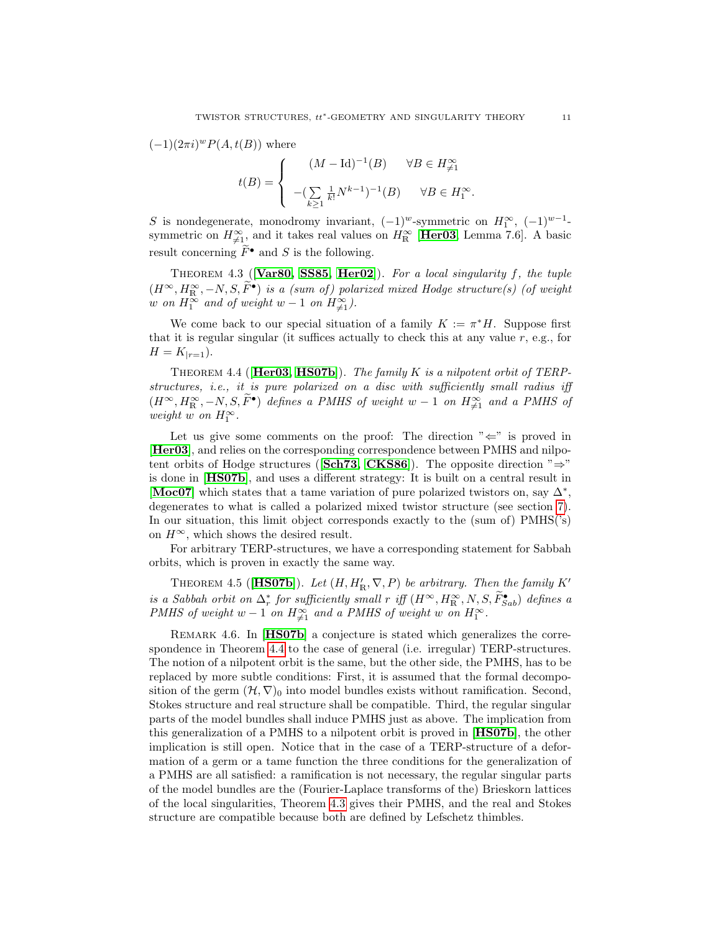$(-1)(2\pi i)^w P(A,t(B))$  where

$$
t(B) = \begin{cases} & (M - \operatorname{Id})^{-1}(B) \quad \forall B \in H^\infty_{\neq 1} \\ & -(\sum\limits_{k \geq 1} \frac{1}{k!} N^{k-1})^{-1}(B) \quad \forall B \in H^\infty_1. \end{cases}
$$

S is nondegenerate, monodromy invariant,  $(-1)^w$ -symmetric on  $H_1^{\infty}$ ,  $(-1)^{w-1}$ symmetric on  $H_{\neq 1}^{\infty}$ , and it takes real values on  $H_{\mathbb{R}}^{\infty}$  [[Her03](#page-23-2), Lemma 7.6]. A basic result concerning  $\widetilde{F}^{\bullet}$  and S is the following.

<span id="page-10-1"></span>THEOREM 4.3 ( $[Var80, SSS5, Her02]$  $[Var80, SSS5, Her02]$  $[Var80, SSS5, Her02]$  $[Var80, SSS5, Her02]$  $[Var80, SSS5, Her02]$ ). For a local singularity f, the tuple  $(H^{\infty}, H^{\infty}_{\text{IR}}, -N, S, \widetilde{F}^{\bullet})$  is a (sum of) polarized mixed Hodge structure(s) (of weight w on  $H_1^{\infty}$  and of weight w – 1 on  $H_{\neq 1}^{\infty}$ ).

We come back to our special situation of a family  $K := \pi^* H$ . Suppose first that it is regular singular (it suffices actually to check this at any value  $r$ , e.g., for  $H = K_{|r=1}$ .

<span id="page-10-0"></span>THEOREM 4.4 ( $[Her03, HS07b]$  $[Her03, HS07b]$  $[Her03, HS07b]$  $[Her03, HS07b]$ ). The family K is a nilpotent orbit of TERPstructures, i.e., it is pure polarized on a disc with sufficiently small radius iff  $(H^{\infty}, H^{\infty}_{\mathbb{R}}, -N, S, \widetilde{F}^{\bullet})$  defines a PMHS of weight  $w-1$  on  $H^{\infty}_{\neq 1}$  and a PMHS of weight  $w$  on  $H_1^{\infty}$ .

Let us give some comments on the proof: The direction  $"\Leftarrow"$  is proved in [[Her03](#page-23-2)], and relies on the corresponding correspondence between PMHS and nilpo-tent orbits of Hodge structures ([[Sch73,](#page-24-14) [CKS86](#page-23-11)]). The opposite direction " $\Rightarrow$ " is done in [[HS07b](#page-23-4)], and uses a different strategy: It is built on a central result in [[Moc07](#page-24-5)] which states that a tame variation of pure polarized twistors on, say  $\Delta^*$ , degenerates to what is called a polarized mixed twistor structure (see section [7\)](#page-21-0). In our situation, this limit object corresponds exactly to the (sum of) PMHS('s) on  $H^{\infty}$ , which shows the desired result.

For arbitrary TERP-structures, we have a corresponding statement for Sabbah orbits, which is proven in exactly the same way.

<span id="page-10-2"></span>THEOREM 4.5 ([HSO7b]). Let  $(H, H'_{\mathbb{R}}, \nabla, P)$  be arbitrary. Then the family K' is a Sabbah orbit on  $\Delta_r^*$  for sufficiently small r iff  $(H^{\infty}, H^{\infty}_{R}, N, S, \tilde{F}_{Sab}^{\bullet})$  defines a PMHS of weight w - 1 on  $H^{\infty}_{\neq 1}$  and a PMHS of weight w on  $H_1^{\infty}$ .

REMARK 4.6. In [[HS07b](#page-23-4)] a conjecture is stated which generalizes the correspondence in Theorem [4.4](#page-10-0) to the case of general (i.e. irregular) TERP-structures. The notion of a nilpotent orbit is the same, but the other side, the PMHS, has to be replaced by more subtle conditions: First, it is assumed that the formal decomposition of the germ  $(\mathcal{H}, \nabla)$ <sub>0</sub> into model bundles exists without ramification. Second, Stokes structure and real structure shall be compatible. Third, the regular singular parts of the model bundles shall induce PMHS just as above. The implication from this generalization of a PMHS to a nilpotent orbit is proved in [[HS07b](#page-23-4)], the other implication is still open. Notice that in the case of a TERP-structure of a deformation of a germ or a tame function the three conditions for the generalization of a PMHS are all satisfied: a ramification is not necessary, the regular singular parts of the model bundles are the (Fourier-Laplace transforms of the) Brieskorn lattices of the local singularities, Theorem [4.3](#page-10-1) gives their PMHS, and the real and Stokes structure are compatible because both are defined by Lefschetz thimbles.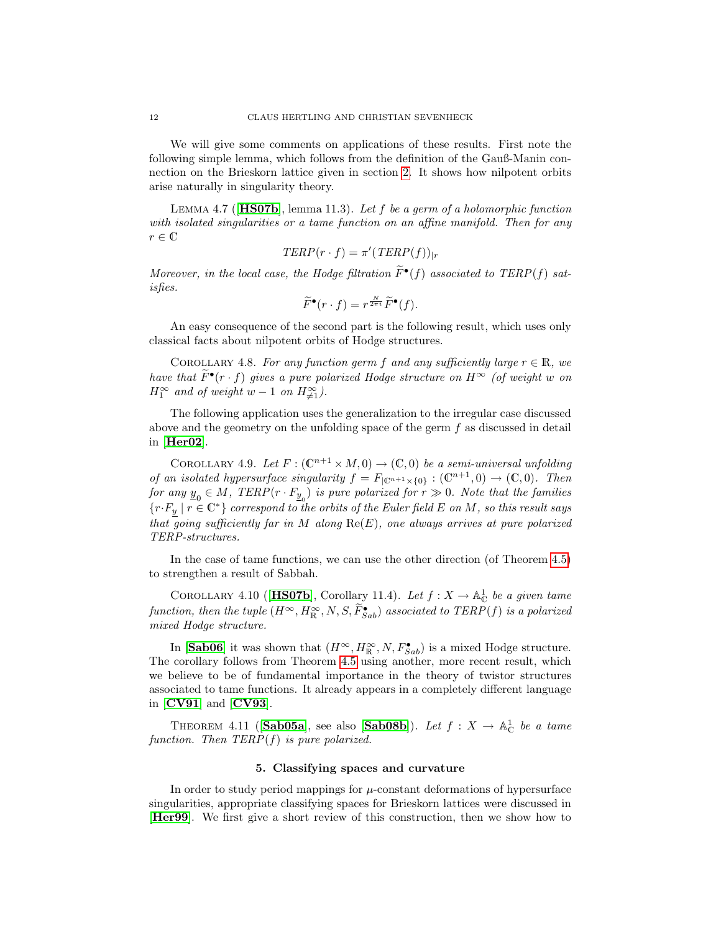We will give some comments on applications of these results. First note the following simple lemma, which follows from the definition of the Gauß-Manin connection on the Brieskorn lattice given in section [2.](#page-1-0) It shows how nilpotent orbits arise naturally in singularity theory.

LEMMA 4.7 ( $[HSO7b]$ , lemma 11.3). Let f be a germ of a holomorphic function with isolated singularities or a tame function on an affine manifold. Then for any  $r \in \mathbb{C}$ 

$$
TERP(r \cdot f) = \pi'(TERP(f))_{|r}
$$

Moreover, in the local case, the Hodge filtration  $\tilde{F}^{\bullet}(f)$  associated to TERP(f) satisfies.

$$
\widetilde{F}^{\bullet}(r \cdot f) = r^{\frac{N}{2\pi i}} \widetilde{F}^{\bullet}(f).
$$

An easy consequence of the second part is the following result, which uses only classical facts about nilpotent orbits of Hodge structures.

COROLLARY 4.8. For any function germ f and any sufficiently large  $r \in \mathbb{R}$ , we have that  $\widetilde{F}^{\bullet}(r \cdot f)$  gives a pure polarized Hodge structure on  $H^{\infty}$  (of weight w on  $H_1^{\infty}$  and of weight  $w-1$  on  $H_{\neq 1}^{\infty}$ ).

The following application uses the generalization to the irregular case discussed above and the geometry on the unfolding space of the germ  $f$  as discussed in detail in [[Her02](#page-23-10)].

COROLLARY 4.9. Let  $F: (\mathbb{C}^{n+1} \times M, 0) \to (\mathbb{C}, 0)$  be a semi-universal unfolding of an isolated hypersurface singularity  $f = F_{\vert \mathbb{C}^{n+1} \times \{0\}} : (\mathbb{C}^{n+1}, 0) \to (\mathbb{C}, 0)$ . Then for any  $\underline{y}_0 \in M$ , TERP(r  $\cdot$   $F_{\underline{y}_0}$ ) is pure polarized for  $r \gg 0$ . Note that the families  ${r \cdot F_y \mid r \in \mathbb{C}^* }$  correspond to the orbits of the Euler field E on M, so this result says that going sufficiently far in M along  $\text{Re}(E)$ , one always arrives at pure polarized TERP-structures.

In the case of tame functions, we can use the other direction (of Theorem [4.5\)](#page-10-2) to strengthen a result of Sabbah.

COROLLARY 4.10 ([[HS07b](#page-23-4)], Corollary 11.4). Let  $f: X \to \mathbb{A}^1_{\mathbb{C}}$  be a given tame function, then the tuple  $(H^{\infty}, H^{\infty}_{\mathbb{R}}, N, S, \tilde{F}^{\bullet}_{Sab})$  associated to  $TERP(f)$  is a polarized mixed Hodge structure.

In [[Sab06](#page-24-0)] it was shown that  $(H^{\infty}, H^{\infty}_{\mathbb{R}}, N, F^{\bullet}_{Sab})$  is a mixed Hodge structure. The corollary follows from Theorem [4.5](#page-10-2) using another, more recent result, which we believe to be of fundamental importance in the theory of twistor structures associated to tame functions. It already appears in a completely different language in [[CV91](#page-23-0)] and [[CV93](#page-23-1)].

<span id="page-11-0"></span>THEOREM 4.11 ([[Sab05a](#page-24-1)], see also [[Sab08b](#page-24-15)]). Let  $f: X \to \mathbb{A}_{\mathbb{C}}^1$  be a tame function. Then  $TERP(f)$  is pure polarized.

# 5. Classifying spaces and curvature

<span id="page-11-1"></span>In order to study period mappings for  $\mu$ -constant deformations of hypersurface singularities, appropriate classifying spaces for Brieskorn lattices were discussed in [[Her99](#page-23-12)]. We first give a short review of this construction, then we show how to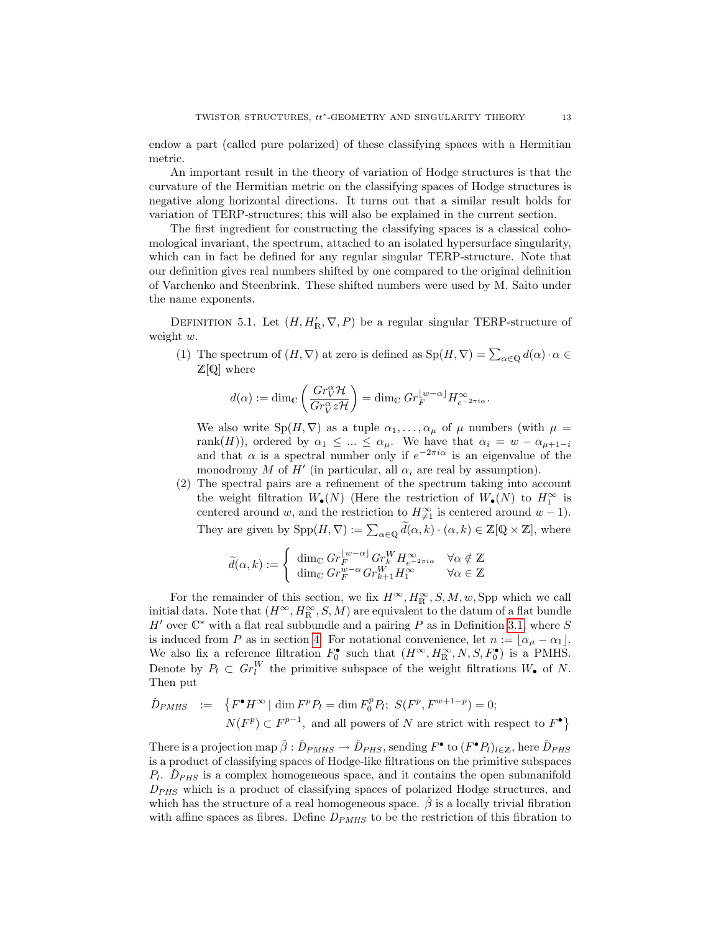endow a part (called pure polarized) of these classifying spaces with a Hermitian metric.

An important result in the theory of variation of Hodge structures is that the curvature of the Hermitian metric on the classifying spaces of Hodge structures is negative along horizontal directions. It turns out that a similar result holds for variation of TERP-structures; this will also be explained in the current section.

The first ingredient for constructing the classifying spaces is a classical cohomological invariant, the spectrum, attached to an isolated hypersurface singularity, which can in fact be defined for any regular singular TERP-structure. Note that our definition gives real numbers shifted by one compared to the original definition of Varchenko and Steenbrink. These shifted numbers were used by M. Saito under the name exponents.

DEFINITION 5.1. Let  $(H, H'_{\mathbb{R}}, \nabla, P)$  be a regular singular TERP-structure of weight w.

(1) The spectrum of  $(H, \nabla)$  at zero is defined as  $\text{Sp}(H, \nabla) = \sum_{\alpha \in \mathbb{Q}} d(\alpha) \cdot \alpha \in$  $\mathbb{Z}[\mathbb{Q}]$  where

$$
d(\alpha) := \dim_{\mathbb{C}} \left( \frac{Gr_V^{\alpha} \mathcal{H}}{Gr_V^{\alpha} z \mathcal{H}} \right) = \dim_{\mathbb{C}} Gr_F^{\lfloor w - \alpha \rfloor} H_{e^{-2\pi i \alpha}}^{\infty}.
$$

We also write  $Sp(H, \nabla)$  as a tuple  $\alpha_1, \ldots, \alpha_\mu$  of  $\mu$  numbers (with  $\mu =$ rank(H)), ordered by  $\alpha_1 \leq ... \leq \alpha_{\mu}$ . We have that  $\alpha_i = w - \alpha_{\mu+1-i}$ and that  $\alpha$  is a spectral number only if  $e^{-2\pi i \alpha}$  is an eigenvalue of the monodromy M of  $H'$  (in particular, all  $\alpha_i$  are real by assumption).

(2) The spectral pairs are a refinement of the spectrum taking into account the weight filtration  $W_{\bullet}(N)$  (Here the restriction of  $W_{\bullet}(N)$  to  $H_1^{\infty}$  is centered around w, and the restriction to  $H^{\infty}_{\neq 1}$  is centered around  $w - 1$ ). They are given by  $\text{Spp}(H, \nabla) := \sum_{\alpha \in \mathbb{Q}} \widetilde{d}(\alpha, k) \cdot (\alpha, k) \in \mathbb{Z}[\mathbb{Q} \times \mathbb{Z}]$ , where

$$
\widetilde{d}(\alpha, k) := \begin{cases}\n\dim_{\mathbb{C}} Gr_F^{[w-\alpha]} Gr_K^W H_{e^{-2\pi i \alpha}}^{\infty} & \forall \alpha \notin \mathbb{Z} \\
\dim_{\mathbb{C}} Gr_F^{w-\alpha} Gr_{k+1}^W H_1^{\infty} & \forall \alpha \in \mathbb{Z}\n\end{cases}
$$

For the remainder of this section, we fix  $H^{\infty}, H^{\infty}_{\mathbb{R}}, S, M, w$ , Spp which we call initial data. Note that  $(H^{\infty}, H^{\infty}_{R}, S, M)$  are equivalent to the datum of a flat bundle  $H'$  over  $\mathbb{C}^*$  with a flat real subbundle and a pairing P as in Definition [3.1,](#page-5-0) where S is induced from P as in section [4.](#page-8-0) For notational convenience, let  $n := \lfloor \alpha_{\mu} - \alpha_1 \rfloor$ . We also fix a reference filtration  $F_0^{\bullet}$  such that  $(H^{\infty}, H^{\infty}_{\mathbb{R}}, N, S, F_0^{\bullet})$  is a PMHS. Denote by  $P_l \subset Gr_l^W$  the primitive subspace of the weight filtrations  $W_{\bullet}$  of N. Then put

$$
\tilde{D}_{PMHS} := \{ F^{\bullet} H^{\infty} \mid \dim F^p P_l = \dim F_0^p P_l; \ S(F^p, F^{w+1-p}) = 0; \nN(F^p) \subset F^{p-1}, \text{ and all powers of } N \text{ are strict with respect to } F^{\bullet} \}
$$

There is a projection map  $\check{\beta}: \check{D}_{PMHS} \to \check{D}_{PHS}$ , sending  $F^{\bullet}$  to  $(F^{\bullet}P_l)_{l \in \mathbb{Z}}$ , here  $\check{D}_{PHS}$ is a product of classifying spaces of Hodge-like filtrations on the primitive subspaces  $P_l$ .  $\check{D}_{PHS}$  is a complex homogeneous space, and it contains the open submanifold  $D_{PHS}$  which is a product of classifying spaces of polarized Hodge structures, and which has the structure of a real homogeneous space.  $\hat{\beta}$  is a locally trivial fibration with affine spaces as fibres. Define  $D_{PMHS}$  to be the restriction of this fibration to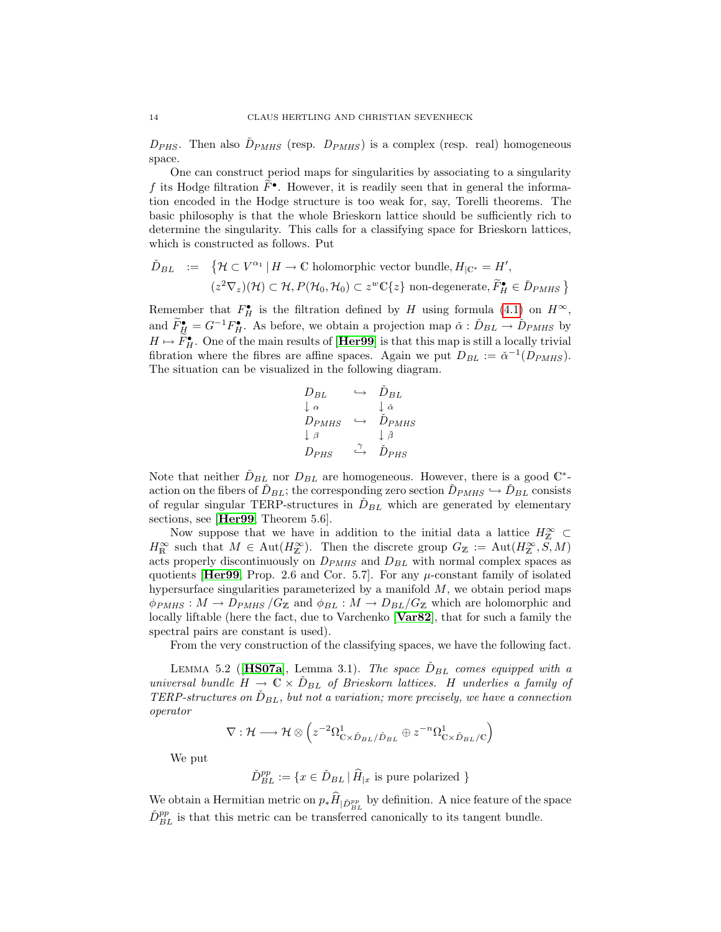$D_{PHS}$ . Then also  $D_{PMHS}$  (resp.  $D_{PMHS}$ ) is a complex (resp. real) homogeneous space.

One can construct period maps for singularities by associating to a singularity f its Hodge filtration  $\tilde{F}^{\bullet}$ . However, it is readily seen that in general the information encoded in the Hodge structure is too weak for, say, Torelli theorems. The basic philosophy is that the whole Brieskorn lattice should be sufficiently rich to determine the singularity. This calls for a classifying space for Brieskorn lattices, which is constructed as follows. Put

$$
\tilde{D}_{BL} := \{ \mathcal{H} \subset V^{\alpha_1} \mid H \to \mathbb{C} \text{ holomorphic vector bundle}, H_{|\mathbb{C}^*} = H',
$$

$$
(z^2 \nabla_z)(\mathcal{H}) \subset \mathcal{H}, P(\mathcal{H}_0, \mathcal{H}_0) \subset z^w \mathbb{C}\{z\} \text{ non-degenerate}, \tilde{F}_{H}^{\bullet} \in \tilde{D}_{PMHS} \}
$$

Remember that  $F_H^{\bullet}$  is the filtration defined by H using formula [\(4.1\)](#page-9-0) on  $H^{\infty}$ , and  $\widetilde{F}_{\underline{H}}^{\bullet} = G^{-1} F_H^{\bullet}$ . As before, we obtain a projection map  $\check{\alpha} : \check{D}_{BL} \to \check{D}_{PMHS}$  by  $H \mapsto \widetilde{F}_{H}^{\bullet}$ . One of the main results of [**[Her99](#page-23-12)**] is that this map is still a locally trivial fibration where the fibres are affine spaces. Again we put  $D_{BL} := \check{\alpha}^{-1}(D_{PMHS})$ . The situation can be visualized in the following diagram.

$$
\begin{array}{ccc}\nD_{BL} & \hookrightarrow & \check{D}_{BL} \\
\downarrow \alpha & & \downarrow \check{\alpha} \\
D_{PMHS} & \hookrightarrow & \check{D}_{PMHS} \\
\downarrow \beta & & \downarrow \check{\beta} \\
D_{PHS} & \xrightarrow{\gamma} & \check{D}_{PHS}\n\end{array}
$$

Note that neither  $\check{D}_{BL}$  nor  $D_{BL}$  are homogeneous. However, there is a good  $\mathbb{C}^*$ action on the fibers of  $\tilde{D}_{BL}$ ; the corresponding zero section  $\tilde{D}_{PMHS} \hookrightarrow \tilde{D}_{BL}$  consists of regular singular TERP-structures in  $\tilde{D}_{BL}$  which are generated by elementary sections, see [**[Her99](#page-23-12)**, Theorem 5.6].

Now suppose that we have in addition to the initial data a lattice  $H_{\mathbb{Z}}^{\infty} \subset$  $H^{\infty}_{\mathbb{R}}$  such that  $M \in \text{Aut}(H^{\infty}_{\mathbb{Z}})$ . Then the discrete group  $G_{\mathbb{Z}} := \text{Aut}(H^{\infty}_{\mathbb{Z}}, S, M)$ acts properly discontinuously on  $D_{PMHS}$  and  $D_{BL}$  with normal complex spaces as quotients [[Her99](#page-23-12), Prop. 2.6 and Cor. 5.7]. For any  $\mu$ -constant family of isolated hypersurface singularities parameterized by a manifold  $M$ , we obtain period maps  $\phi_{PMHS}: M \to D_{PMHS}/G_{\mathbb{Z}}$  and  $\phi_{BL}: M \to D_{BL}/G_{\mathbb{Z}}$  which are holomorphic and locally liftable (here the fact, due to Varchenko | **[Var82](#page-24-16)**, that for such a family the spectral pairs are constant is used).

From the very construction of the classifying spaces, we have the following fact.

LEMMA 5.2 ([[HS07a](#page-23-5)], Lemma 3.1). The space  $D_{BL}$  comes equipped with a universal bundle  $H \to \mathbb{C} \times \tilde{D}_{BL}$  of Brieskorn lattices. H underlies a family of TERP-structures on  $\dot{D}_{BL}$ , but not a variation; more precisely, we have a connection operator

$$
\nabla: \mathcal{H} \longrightarrow \mathcal{H} \otimes \left( z^{-2} \Omega_{\mathbb{C} \times \check{D}_{BL}/\check{D}_{BL}}^1 \oplus z^{-n} \Omega_{\mathbb{C} \times \check{D}_{BL}/\mathbb{C}}^1 \right)
$$

We put

$$
\tilde{D}_{BL}^{pp} := \{ x \in \tilde{D}_{BL} \, | \, \widehat{H}_{|x} \text{ is pure polarized } \}
$$

We obtain a Hermitian metric on  $p_* H_{\vert \tilde{D}_{BL}^{pp}}$  by definition. A nice feature of the space  $\tilde{D}_{BL}^{pp}$  is that this metric can be transferred canonically to its tangent bundle.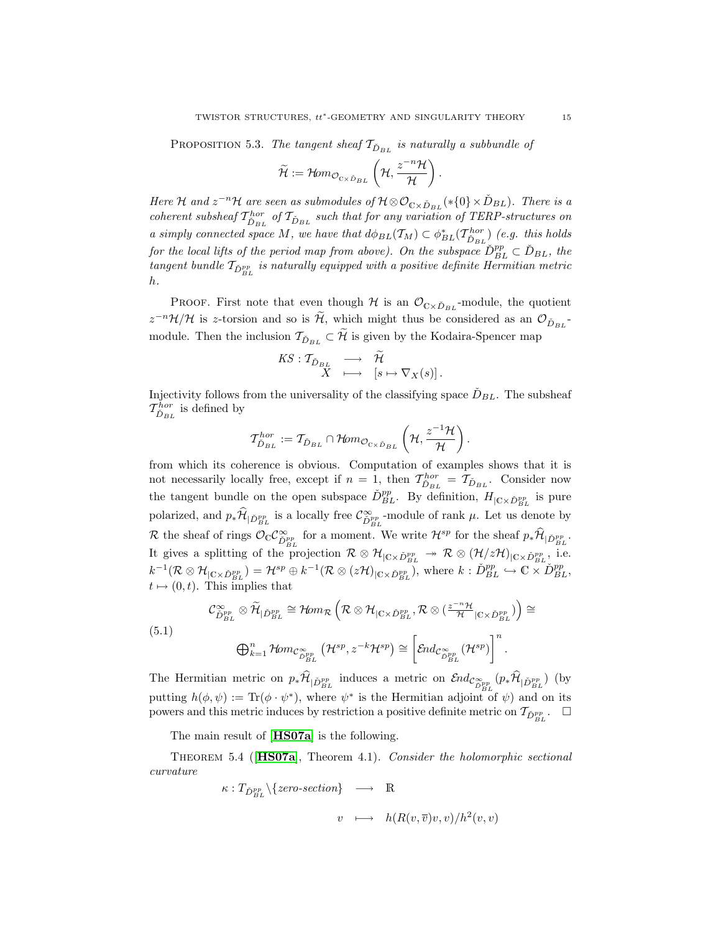PROPOSITION 5.3. The tangent sheaf  $T_{\tilde{D}_{BL}}$  is naturally a subbundle of

$$
\widetilde{\mathcal{H}}:=\mathcal{H}\hspace{-2pt}\mathit{om}_{\mathcal{O}_{C\times \check{D}_{BL}}}\left(\mathcal{H},\frac{z^{-n}\mathcal{H}}{\mathcal{H}}\right).
$$

Here H and  $z^{-n}$ H are seen as submodules of  $H \otimes \mathcal{O}_{C \times \check{D}_{BL}}(*\{0\} \times \check{D}_{BL})$ . There is a coherent subsheaf  $T_{\tilde{D}_{BL}}^{hor}$  of  $T_{\tilde{D}_{BL}}$  such that for any variation of TERP-structures on a simply connected space M, we have that  $d\phi_{BL}(\mathcal{T}_M) \subset \phi_{BL}^*(\mathcal{T}_{\check{D}_{BL}}^{hor})$  (e.g. this holds for the local lifts of the period map from above). On the subspace  $\check{D}_{BL}^{pp} \subset \check{D}_{BL}$ , the tangent bundle  $\mathcal{T}_{\check{D}_{BL}^{pp}}$  is naturally equipped with a positive definite Hermitian metric h.

PROOF. First note that even though  $H$  is an  $\mathcal{O}_{C\times \tilde{D}_{BL}}$ -module, the quotient  $z^{-n}\mathcal{H}/\mathcal{H}$  is z-torsion and so is  $\tilde{\mathcal{H}}$ , which might thus be considered as an  $\mathcal{O}_{\tilde{D}_{BL}}$ module. Then the inclusion  $\mathcal{T}_{\tilde{D}_{BL}} \subset \tilde{\mathcal{H}}$  is given by the Kodaira-Spencer map

$$
\begin{array}{rcl}\n KS: \mathcal{T}_{\check{D}_{BL}} & \longrightarrow & \widetilde{\mathcal{H}} \\
 X & \longmapsto & [s \mapsto \nabla_X(s)]\, .\n \end{array}
$$

Injectivity follows from the universality of the classifying space  $\check{D}_{BL}$ . The subsheaf  $T^{hor}_{\check{D}_{BL}}$  is defined by

$$
T_{\check{D}_{BL}}^{hor}:=T_{\check{D}_{BL}}\cap \mathcal{H}\!om_{\mathcal{O}_{\mathbb{C}\times \check{D}_{BL}}}\left(\mathcal{H},\frac{z^{-1}\mathcal{H}}{\mathcal{H}}\right).
$$

from which its coherence is obvious. Computation of examples shows that it is not necessarily locally free, except if  $n = 1$ , then  $\mathcal{T}_{\check{D}_{BL}}^{hor} = \mathcal{T}_{\check{D}_{BL}}$ . Consider now the tangent bundle on the open subspace  $\tilde{D}_{BL}^{pp}$ . By definition,  $H_{\vert C \times \tilde{D}_{BL}^{pp}}$  is pure polarized, and  $p_*\hat{\mathcal{H}}_{|\tilde{D}_{BL}^{pp}}$  is a locally free  $\mathcal{C}_{\tilde{D}_{BL}^{pp}}^{\infty}$ -module of rank  $\mu$ . Let us denote by R the sheaf of rings  $\mathcal{O}_{\mathbb{C}} \mathcal{C}^{\infty}_{\tilde{D}_{BL}^{pp}}$  for a moment. We write  $\mathcal{H}^{sp}$  for the sheaf  $p_*\hat{\mathcal{H}}_{|\tilde{D}_{BL}^{pp}}$ . It gives a splitting of the projection  $\mathcal{R} \otimes \mathcal{H}_{|C \times \check{D}_{BL}^{pp}} \twoheadrightarrow \mathcal{R} \otimes (\mathcal{H}/\mathcal{ZH})_{|C \times \check{D}_{BL}^{pp}}$ , i.e.  $k^{-1}(\mathcal{R}\otimes\mathcal{H}_{|\mathbb{C}\times\check{D}_{BL}^{pp}})=\mathcal{H}^{sp}\oplus k^{-1}(\mathcal{R}\otimes(z\mathcal{H})_{|\mathbb{C}\times\check{D}_{BL}^{pp}})$ , where  $k:\check{D}_{BL}^{pp}\hookrightarrow\mathbb{C}\times\check{D}_{BL}^{pp}$ ,  $t \mapsto (0, t)$ . This implies that

$$
\mathcal{C}_{\check{D}_{BL}^{pp}}^{\infty} \otimes \widetilde{\mathcal{H}}_{|\check{D}_{BL}^{pp}} \cong \mathcal{H}om_{\mathcal{R}}\left(\mathcal{R} \otimes \mathcal{H}_{|\mathbb{C} \times \check{D}_{BL}^{pp}}, \mathcal{R} \otimes (\frac{z^{-n} \mathcal{H}}{\mathcal{H}}_{|\mathbb{C} \times \check{D}_{BL}^{pp}})\right) \cong
$$
\n
$$
(5.1)
$$
\n
$$
\bigoplus_{k=1}^{n} \mathcal{H}om_{\mathcal{C}_{\check{D}_{BL}^{pp}}}(\mathcal{H}^{sp}, z^{-k} \mathcal{H}^{sp}) \cong \left[\mathcal{E}nd_{\mathcal{C}_{\check{D}_{BL}^{pp}}}(\mathcal{H}^{sp})\right]^{n}.
$$

The Hermitian metric on  $p_*\mathcal{H}_{|\check{D}_{BL}^{pp}}$  induces a metric on  $\mathcal{E}nd_{\mathcal{C}_{\check{D}_{BL}^{pp}}^{\infty}}(p_*\mathcal{H}_{|\check{D}_{BL}^{pp}})$  (by putting  $h(\phi, \psi) := \text{Tr}(\phi \cdot \psi^*)$ , where  $\psi^*$  is the Hermitian adjoint of  $\psi$ ) and on its powers and this metric induces by restriction a positive definite metric on  $\mathcal{T}_{\check{D}_{BL}^{pp}}$ .

The main result of [**[HS07a](#page-23-5)**] is the following.

Theorem 5.4 ([[HS07a](#page-23-5)], Theorem 4.1). Consider the holomorphic sectional curvature

$$
\kappa: T_{\tilde{D}_{BL}^{pp}} \setminus \{zero\text{-}section\} \longrightarrow \mathbb{R}
$$
  

$$
v \longmapsto h(R(v,\overline{v})v,v)/h^2(v,v)
$$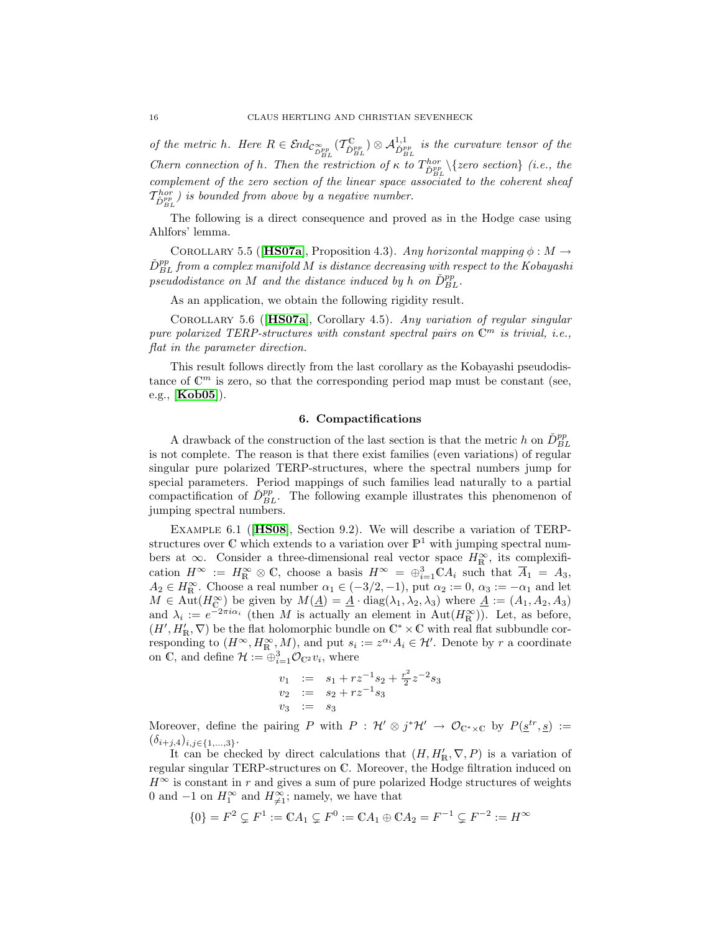of the metric h. Here  $R \in \mathcal{E}nd_{\mathcal{C}_{DR}^{op}}^{\mathcal{C}_{Dep}}(\mathcal{T}_{\tilde{D}_{BL}}^{\mathbb{C}_{P_{BL}}}) \otimes \mathcal{A}_{\tilde{D}_{BL}}^{1,1}$  is the curvature tensor of the Chern connection of h. Then the restriction of  $\kappa$  to  $T_{\tilde{D}_{BL}^{BC}}^{hor} \setminus \{zero \ section\}$  (i.e., the complement of the zero section of the linear space associated to the coherent sheaf  $\mathcal{T}^{hor}_{\check D_{BL}^{pp}}$ ) is bounded from above by a negative number.

The following is a direct consequence and proved as in the Hodge case using Ahlfors' lemma.

<span id="page-15-2"></span>COROLLARY 5.5 ([[HS07a](#page-23-5)], Proposition 4.3). Any horizontal mapping  $\phi : M \to$  $\check{D}_{BL}^{pp}$  from a complex manifold M is distance decreasing with respect to the Kobayashi pseudodistance on M and the distance induced by h on  $\check{D}_{BL}^{pp}$ .

As an application, we obtain the following rigidity result.

Corollary 5.6 ([[HS07a](#page-23-5)], Corollary 4.5). Any variation of regular singular pure polarized TERP-structures with constant spectral pairs on  $\mathbb{C}^m$  is trivial, i.e., flat in the parameter direction.

This result follows directly from the last corollary as the Kobayashi pseudodistance of  $\mathbb{C}^m$  is zero, so that the corresponding period map must be constant (see, e.g., [[Kob05](#page-24-17)]).

## 6. Compactifications

<span id="page-15-0"></span>A drawback of the construction of the last section is that the metric h on  $\check{D}_{BL}^{pp}$ is not complete. The reason is that there exist families (even variations) of regular singular pure polarized TERP-structures, where the spectral numbers jump for special parameters. Period mappings of such families lead naturally to a partial compactification of  $\check{D}_{BL}^{pp}$ . The following example illustrates this phenomenon of jumping spectral numbers.

<span id="page-15-1"></span>Example 6.1 ([[HS08](#page-23-6)], Section 9.2). We will describe a variation of TERPstructures over  $\mathbb C$  which extends to a variation over  $\mathbb P^1$  with jumping spectral numbers at  $\infty$ . Consider a three-dimensional real vector space  $H_{\mathbb{R}}^{\infty}$ , its complexification  $H^{\infty} := H^{\infty}_{\mathbb{R}} \otimes \mathbb{C}$ , choose a basis  $H^{\infty} = \bigoplus_{i=1}^{3} \mathbb{C} A_i$  such that  $\overline{A}_1 = A_3$ ,  $A_2 \in H_{\mathbb{R}}^{\infty}$ . Choose a real number  $\alpha_1 \in (-3/2, -1)$ , put  $\alpha_2 := 0$ ,  $\alpha_3 := -\alpha_1$  and let  $M \in \text{Aut}(H_{\mathbb{C}}^{\infty})$  be given by  $M(\underline{A}) = \underline{A} \cdot \text{diag}(\lambda_1, \lambda_2, \lambda_3)$  where  $\underline{A} := (A_1, A_2, A_3)$ and  $\lambda_i := e^{-2\pi i \alpha_i}$  (then M is actually an element in Aut $(H^{\infty}_{\mathbb{R}})$ ). Let, as before,  $(H', H'_{\mathbb{R}}, \nabla)$  be the flat holomorphic bundle on  $\mathbb{C}^* \times \mathbb{C}$  with real flat subbundle corresponding to  $(H^{\infty}, H^{\infty}_{\mathbb{R}}, M)$ , and put  $s_i := z^{\alpha_i} A_i \in \mathcal{H}'$ . Denote by r a coordinate on C, and define  $\mathcal{H} := \bigoplus_{i=1}^{n} \mathcal{O}_{\mathbb{C}^2} v_i$ , where

$$
v_1 := s_1 + rz^{-1}s_2 + \frac{r^2}{2}z^{-2}s_3
$$
  
\n
$$
v_2 := s_2 + rz^{-1}s_3
$$
  
\n
$$
v_3 := s_3
$$

Moreover, define the pairing P with  $P : \mathcal{H}' \otimes j^* \mathcal{H}' \to \mathcal{O}_{\mathbb{C}^*\times\mathbb{C}}$  by  $P(\underline{s}^{tr}, \underline{s}) :=$  $(\delta_{i+j,4})_{i,j\in\{1,...,3\}}$ .

It can be checked by direct calculations that  $(H, H'_{\mathbb{R}}, \nabla, P)$  is a variation of regular singular TERP-structures on C. Moreover, the Hodge filtration induced on  $H^{\infty}$  is constant in r and gives a sum of pure polarized Hodge structures of weights 0 and  $-1$  on  $H_1^{\infty}$  and  $H_{\neq 1}^{\infty}$ ; namely, we have that

$$
\{0\} = F^2 \subsetneq F^1 := \mathbb{C}A_1 \subsetneq F^0 := \mathbb{C}A_1 \oplus \mathbb{C}A_2 = F^{-1} \subsetneq F^{-2} := H^{\infty}
$$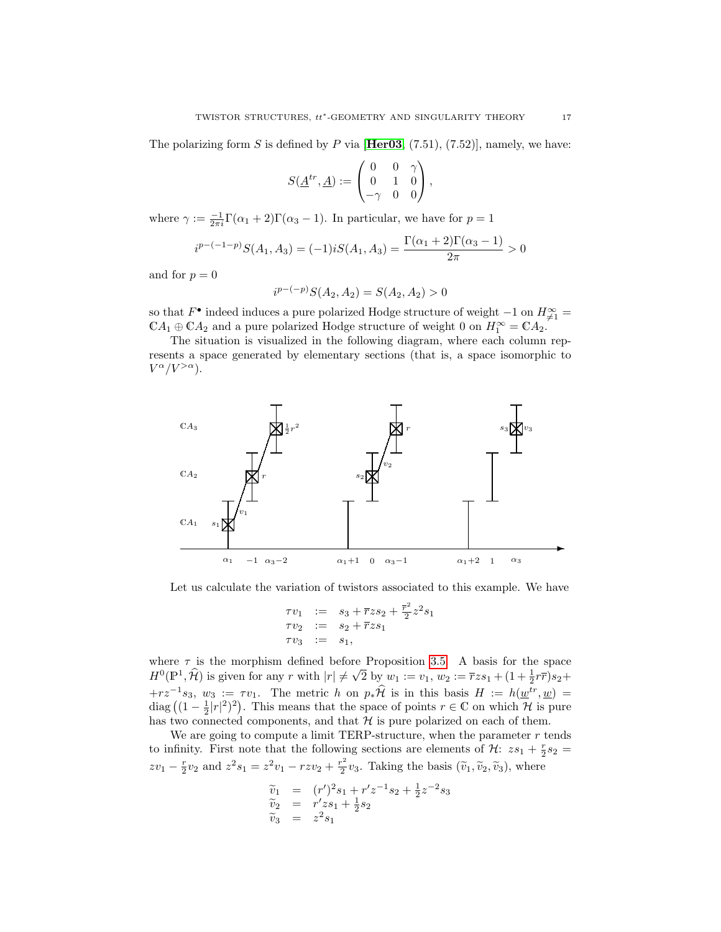The polarizing form S is defined by P via  $[\text{Her03}, (7.51), (7.52)]$  $[\text{Her03}, (7.51), (7.52)]$  $[\text{Her03}, (7.51), (7.52)]$ , namely, we have:

$$
S(\underline{A}^{tr},\underline{A}):=\begin{pmatrix} 0 & 0 & \gamma \\ 0 & 1 & 0 \\ -\gamma & 0 & 0 \end{pmatrix},
$$

where  $\gamma := \frac{-1}{2\pi i} \Gamma(\alpha_1 + 2) \Gamma(\alpha_3 - 1)$ . In particular, we have for  $p = 1$ 

$$
i^{p-(-1-p)}S(A_1, A_3) = (-1)iS(A_1, A_3) = \frac{\Gamma(\alpha_1 + 2)\Gamma(\alpha_3 - 1)}{2\pi} > 0
$$

and for  $p = 0$ 

$$
i^{p-(-p)}S(A_2, A_2) = S(A_2, A_2) > 0
$$

so that  $F^{\bullet}$  indeed induces a pure polarized Hodge structure of weight  $-1$  on  $H_{\neq 1}^{\infty}$  $\mathbb{C}A_1 \oplus \mathbb{C}A_2$  and a pure polarized Hodge structure of weight 0 on  $H_1^{\infty} = \mathbb{C}A_2$ .

The situation is visualized in the following diagram, where each column represents a space generated by elementary sections (that is, a space isomorphic to  $V^{\alpha}/V^{>\alpha}$ ).



Let us calculate the variation of twistors associated to this example. We have

$$
\begin{array}{rcl}\n\tau v_1 & := & s_3 + \overline{r} z s_2 + \frac{\overline{r}^2}{2} z^2 s_1 \\
\tau v_2 & := & s_2 + \overline{r} z s_1 \\
\tau v_3 & := & s_1,\n\end{array}
$$

where  $\tau$  is the morphism defined before Proposition [3.5.](#page-7-0) A basis for the space  $H^0(\mathbb{P}^1, \widehat{\mathcal{H}})$  is given for any r with  $|r| \neq$ re Proposition 5.5. A basis for the space<br>  $\sqrt{2}$  by  $w_1 := v_1, w_2 := \overline{r}z s_1 + (1 + \frac{1}{2}r\overline{r})s_2 +$  $+r z^{-1} s_3$ ,  $w_3 := \tau v_1$ . The metric h on  $p_* \hat{\mathcal{H}}$  is in this basis  $H := h(\underline{w}^{tr}, \underline{w}) =$ diag  $((1 - \frac{1}{2}|r|^2)^2)$ . This means that the space of points  $r \in \mathbb{C}$  on which  $\mathcal{H}$  is pure has two connected components, and that  $H$  is pure polarized on each of them.

We are going to compute a limit TERP-structure, when the parameter  $r$  tends to infinity. First note that the following sections are elements of  $\mathcal{H}$ :  $zs_1 + \frac{r}{2}s_2 =$  $zv_1 - \frac{r}{2}v_2$  and  $z^2s_1 = z^2v_1 - rzw_2 + \frac{r^2}{2}$  $\frac{1}{2}v_3$ . Taking the basis  $(\tilde{v}_1, \tilde{v}_2, \tilde{v}_3)$ , where

$$
\begin{array}{rcl}\n\widetilde{v}_1 & = & (r')^2 s_1 + r' z^{-1} s_2 + \frac{1}{2} z^{-2} s_3 \\
\widetilde{v}_2 & = & r' z s_1 + \frac{1}{2} s_2 \\
\widetilde{v}_3 & = & z^2 s_1\n\end{array}
$$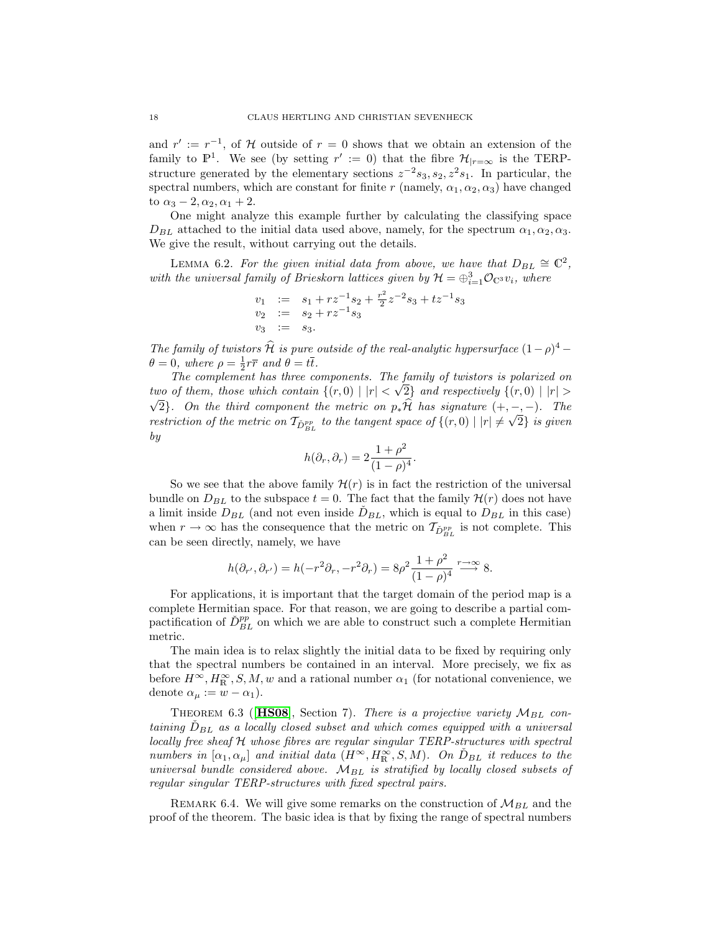and  $r' := r^{-1}$ , of H outside of  $r = 0$  shows that we obtain an extension of the family to  $\mathbb{P}^1$ . We see (by setting  $r' := 0$ ) that the fibre  $\mathcal{H}_{|r=\infty}$  is the TERPstructure generated by the elementary sections  $z^{-2} s_3, s_2, z^2 s_1$ . In particular, the spectral numbers, which are constant for finite r (namely,  $\alpha_1, \alpha_2, \alpha_3$ ) have changed to  $\alpha_3 - 2, \alpha_2, \alpha_1 + 2$ .

One might analyze this example further by calculating the classifying space  $D_{BL}$  attached to the initial data used above, namely, for the spectrum  $\alpha_1, \alpha_2, \alpha_3$ . We give the result, without carrying out the details.

LEMMA 6.2. For the given initial data from above, we have that  $D_{BL} \cong \mathbb{C}^2$ , with the universal family of Brieskorn lattices given by  $\mathcal{H} = \bigoplus_{i=1}^{3} \mathcal{O}_{\mathbb{C}^3} v_i$ , where

$$
v_1 := s_1 + rz^{-1}s_2 + \frac{r^2}{2}z^{-2}s_3 + tz^{-1}s_3
$$
  
\n
$$
v_2 := s_2 + rz^{-1}s_3
$$
  
\n
$$
v_3 := s_3.
$$

The family of twistors  $\hat{\mathcal{H}}$  is pure outside of the real-analytic hypersurface  $(1-\rho)^4$  –  $\theta = 0$ , where  $\rho = \frac{1}{2}r\overline{r}$  and  $\theta = t\overline{t}$ .

The complement has three components. The family of twistors is polarized on two of them, those which contain  $\{(r,0) | |r| < \sqrt{2}\}$  and respectively  $\{(r,0) | |r| >$ √ 2}. On the third component the metric on  $p_*\mathcal{H}$  has signature  $(+, -, -)$ . The restriction of the metric on  $\mathcal{T}_{\check{D}_{BL}^{pp}}$  to the tangent space of  $\{(r,0) \mid |r| \neq \sqrt{2}\}$  is given by

$$
h(\partial_r, \partial_r) = 2 \frac{1 + \rho^2}{(1 - \rho)^4}.
$$

So we see that the above family  $\mathcal{H}(r)$  is in fact the restriction of the universal bundle on  $D_{BL}$  to the subspace  $t = 0$ . The fact that the family  $\mathcal{H}(r)$  does not have a limit inside  $D_{BL}$  (and not even inside  $\tilde{D}_{BL}$ , which is equal to  $D_{BL}$  in this case) when  $r \to \infty$  has the consequence that the metric on  $\mathcal{T}_{\check{D}_{BL}^{pp}}$  is not complete. This can be seen directly, namely, we have

$$
h(\partial_{r'}, \partial_{r'}) = h(-r^2 \partial_r, -r^2 \partial_r) = 8\rho^2 \frac{1+\rho^2}{(1-\rho)^4} \xrightarrow{r \to \infty} 8.
$$

For applications, it is important that the target domain of the period map is a complete Hermitian space. For that reason, we are going to describe a partial compactification of  $\check{D}_{BL}^{pp}$  on which we are able to construct such a complete Hermitian metric.

The main idea is to relax slightly the initial data to be fixed by requiring only that the spectral numbers be contained in an interval. More precisely, we fix as before  $H^{\infty}, H^{\infty}_{\mathbb{R}}, S, M, w$  and a rational number  $\alpha_1$  (for notational convenience, we denote  $\alpha_{\mu} := w - \alpha_1$ ).

THEOREM 6.3 ([[HS08](#page-23-6)], Section 7). There is a projective variety  $M_{BL}$  containing  $\tilde{D}_{BL}$  as a locally closed subset and which comes equipped with a universal locally free sheaf H whose fibres are regular singular TERP-structures with spectral numbers in  $[\alpha_1, \alpha_\mu]$  and initial data  $(H^{\infty}, H^{\infty}_{\text{R}}, S, M)$ . On  $\check{D}_{BL}$  it reduces to the universal bundle considered above.  $\dot{M}_{BL}$  is stratified by locally closed subsets of regular singular TERP-structures with fixed spectral pairs.

REMARK 6.4. We will give some remarks on the construction of  $\mathcal{M}_{BL}$  and the proof of the theorem. The basic idea is that by fixing the range of spectral numbers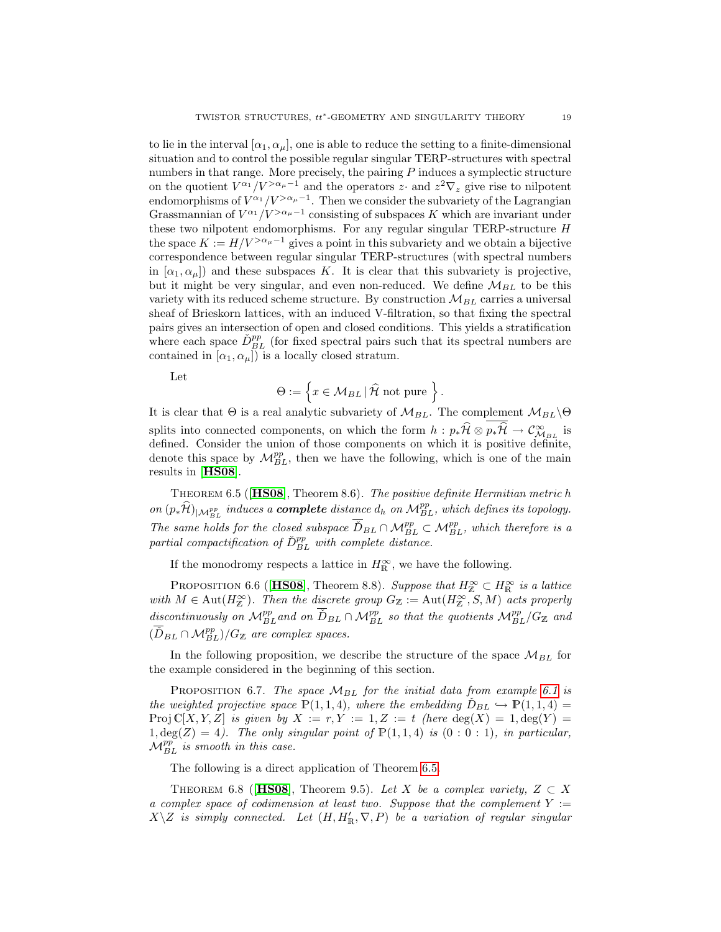to lie in the interval  $[\alpha_1, \alpha_\mu]$ , one is able to reduce the setting to a finite-dimensional situation and to control the possible regular singular TERP-structures with spectral numbers in that range. More precisely, the pairing P induces a symplectic structure on the quotient  $V^{\alpha_1}/V^{>\alpha_{\mu}-1}$  and the operators z $\cdot$  and  $z^2 \nabla_z$  give rise to nilpotent endomorphisms of  $V^{\alpha_1}/V^{>\alpha_{\mu}-1}$ . Then we consider the subvariety of the Lagrangian Grassmannian of  $V^{\alpha_1}/V^{>\alpha_{\mu}-1}$  consisting of subspaces K which are invariant under these two nilpotent endomorphisms. For any regular singular TERP-structure H the space  $K := H/V^{> \alpha_{\mu}-1}$  gives a point in this subvariety and we obtain a bijective correspondence between regular singular TERP-structures (with spectral numbers in  $[\alpha_1, \alpha_\mu]$  and these subspaces K. It is clear that this subvariety is projective, but it might be very singular, and even non-reduced. We define  $M_{BL}$  to be this variety with its reduced scheme structure. By construction  $\mathcal{M}_{BL}$  carries a universal sheaf of Brieskorn lattices, with an induced V-filtration, so that fixing the spectral pairs gives an intersection of open and closed conditions. This yields a stratification where each space  $\tilde{D}_{BL}^{pp}$  (for fixed spectral pairs such that its spectral numbers are contained in  $[\alpha_1, \alpha_\mu]$  is a locally closed stratum.

Let

$$
\Theta := \left\{ x \in \mathcal{M}_{BL} \, | \, \widehat{\mathcal{H}} \text{ not pure } \right\}.
$$

It is clear that  $\Theta$  is a real analytic subvariety of  $\mathcal{M}_{BL}$ . The complement  $\mathcal{M}_{BL}\backslash\Theta$ splits into connected components, on which the form  $h : p_*\hat{H} \otimes p_*\hat{H} \to \mathcal{C}^{\infty}_{M_{BL}}$  is defined. Consider the union of those components on which it is positive definite, denote this space by  $\mathcal{M}_{BL}^{pp}$ , then we have the following, which is one of the main results in [[HS08](#page-23-6)].

<span id="page-18-0"></span>Theorem 6.5 ([[HS08](#page-23-6)], Theorem 8.6). The positive definite Hermitian metric h on  $(p_*\widehat{\mathcal{H}})|_{\mathcal{M}_{BL}^{pp}}$  induces a **complete** distance  $d_h$  on  $\mathcal{M}_{BL}^{pp}$ , which defines its topology. The same holds for the closed subspace  $\overline{D}_{BL} \cap \mathcal{M}_{BL}^{pp} \subset \mathcal{M}_{BL}^{pp}$ , which therefore is a partial compactification of  $\check{D}_{BL}^{pp}$  with complete distance.

If the monodromy respects a lattice in  $H_{\mathbb{R}}^{\infty}$ , we have the following.

PROPOSITION 6.6 ([[HS08](#page-23-6)], Theorem 8.8). Suppose that  $H_{\mathbb{Z}}^{\infty} \subset H_{\mathbb{R}}^{\infty}$  is a lattice with  $M \in \text{Aut}(H_{\mathbb{Z}}^{\infty})$ . Then the discrete group  $G_{\mathbb{Z}} := \text{Aut}(H_{\mathbb{Z}}^{\infty},S,M)$  acts properly discontinuously on  $\mathcal{M}_{BL}^{pp}$  and on  $\overline{D}_{BL} \cap \mathcal{M}_{BL}^{pp}$  so that the quotients  $\mathcal{M}_{BL}^{pp}/G_{\mathbb{Z}}$  and  $(\overline{\tilde{D}}_{BL} \cap \mathcal{M}_{BL}^{pp})/G_{\mathbb{Z}}$  are complex spaces.

In the following proposition, we describe the structure of the space  $\mathcal{M}_{BL}$  for the example considered in the beginning of this section.

PROPOSITION 6.7. The space  $M_{BL}$  for the initial data from example [6.1](#page-15-1) is the weighted projective space  $\mathbb{P}(1,1,4)$ , where the embedding  $D_{BL} \hookrightarrow \mathbb{P}(1,1,4) =$ Proj  $\mathbb{C}[X, Y, Z]$  is given by  $X := r, Y := 1, Z := t$  (here  $\deg(X) = 1, \deg(Y) = 1$  $1, \deg(Z) = 4$ ). The only singular point of  $\mathbb{P}(1,1,4)$  is  $(0:0:1)$ , in particular,  $\mathcal{M}_{BL}^{pp}$  is smooth in this case.

The following is a direct application of Theorem [6.5.](#page-18-0)

THEOREM 6.8 ([[HS08](#page-23-6)], Theorem 9.5). Let X be a complex variety,  $Z \subset X$ a complex space of codimension at least two. Suppose that the complement  $Y :=$  $X\setminus Z$  is simply connected. Let  $(H, H'_{\mathbb{R}}, \nabla, P)$  be a variation of regular singular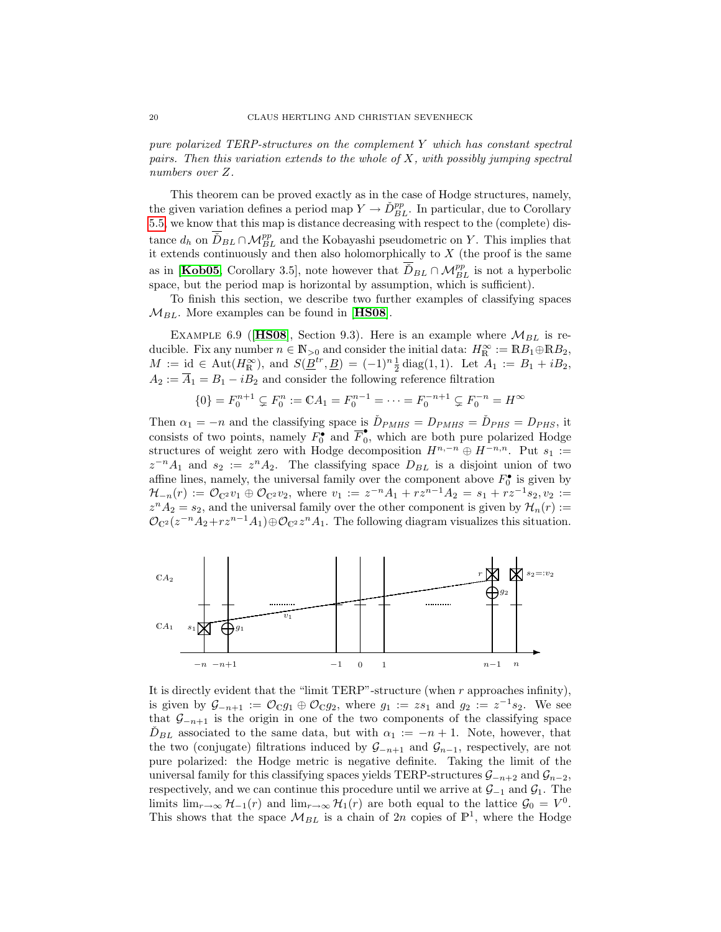pure polarized TERP-structures on the complement Y which has constant spectral pairs. Then this variation extends to the whole of X, with possibly jumping spectral numbers over Z.

This theorem can be proved exactly as in the case of Hodge structures, namely, the given variation defines a period map  $Y \to \check{D}_{BL}^{pp}$ . In particular, due to Corollary [5.5,](#page-15-2) we know that this map is distance decreasing with respect to the (complete) distance  $d_h$  on  $\overline{D}_{BL} \cap \mathcal{M}_{BL}^{pp}$  and the Kobayashi pseudometric on Y. This implies that it extends continuously and then also holomorphically to  $X$  (the proof is the same as in [[Kob05](#page-24-17), Corollary 3.5], note however that  $\overline{D}_{BL} \cap M_{BL}^{pp}$  is not a hyperbolic space, but the period map is horizontal by assumption, which is sufficient).

To finish this section, we describe two further examples of classifying spaces  $M_{BL}$ . More examples can be found in [**[HS08](#page-23-6)**].

EXAMPLE 6.9 ([[HS08](#page-23-6)], Section 9.3). Here is an example where  $\mathcal{M}_{BL}$  is reducible. Fix any number  $n \in \mathbb{N}_{>0}$  and consider the initial data:  $H_{\mathbb{R}}^{\infty} := \mathbb{R}B_1 \oplus \mathbb{R}B_2$ ,  $M := \text{id} \in \text{Aut}(H^{\infty}_{\mathbb{R}})$ , and  $S(\underline{B}^{tr}, \underline{B}) = (-1)^n \frac{1}{2} \text{diag}(1, 1)$ . Let  $A_1 := B_1 + iB_2$ ,  $A_2 := \overline{A}_1 = B_1 - iB_2$  and consider the following reference filtration

$$
\{0\} = F_0^{n+1} \subsetneq F_0^n := \mathbb{C}A_1 = F_0^{n-1} = \dots = F_0^{-n+1} \subsetneq F_0^{-n} = H^\infty
$$

Then  $\alpha_1 = -n$  and the classifying space is  $\dot{D}_{PMHS} = D_{PMHS} = \dot{D}_{PHS} = D_{PHS}$ , it consists of two points, namely  $F_0^{\bullet}$  and  $\overline{F}_0^{\bullet}$ 0 , which are both pure polarized Hodge structures of weight zero with Hodge decomposition  $H^{n,-n} \oplus H^{-n,n}$ . Put  $s_1 :=$  $z^{-n}A_1$  and  $s_2 := z^nA_2$ . The classifying space  $D_{BL}$  is a disjoint union of two affine lines, namely, the universal family over the component above  $F_0^{\bullet}$  is given by  $\mathcal{H}_{-n}(r) := \mathcal{O}_{\mathbb{C}^2}v_1 \oplus \mathcal{O}_{\mathbb{C}^2}v_2$ , where  $v_1 := z^{-n}A_1 + rz^{n-1}A_2 = s_1 + rz^{-1}s_2, v_2 :=$  $z^{n} A_2 = s_2$ , and the universal family over the other component is given by  $\mathcal{H}_n(r) :=$  $\mathcal{O}_{\mathbb{C}^2}(z^{-n}A_2+rz^{n-1}A_1)\oplus \mathcal{O}_{\mathbb{C}^2}z^nA_1$ . The following diagram visualizes this situation.



It is directly evident that the "limit TERP"-structure (when  $r$  approaches infinity), is given by  $\mathcal{G}_{-n+1} := \mathcal{O}_{\mathbb{C}}g_1 \oplus \mathcal{O}_{\mathbb{C}}g_2$ , where  $g_1 := zs_1$  and  $g_2 := z^{-1}s_2$ . We see that  $\mathcal{G}_{-n+1}$  is the origin in one of the two components of the classifying space  $D_{BL}$  associated to the same data, but with  $\alpha_1 := -n + 1$ . Note, however, that the two (conjugate) filtrations induced by  $\mathcal{G}_{-n+1}$  and  $\mathcal{G}_{n-1}$ , respectively, are not pure polarized: the Hodge metric is negative definite. Taking the limit of the universal family for this classifying spaces yields TERP-structures  $\mathcal{G}_{-n+2}$  and  $\mathcal{G}_{n-2}$ , respectively, and we can continue this procedure until we arrive at  $\mathcal{G}_{-1}$  and  $\mathcal{G}_1$ . The limits  $\lim_{r\to\infty} \mathcal{H}_{-1}(r)$  and  $\lim_{r\to\infty} \mathcal{H}_{1}(r)$  are both equal to the lattice  $\mathcal{G}_0 = V^0$ . This shows that the space  $\mathcal{M}_{BL}$  is a chain of 2n copies of  $\mathbb{P}^1$ , where the Hodge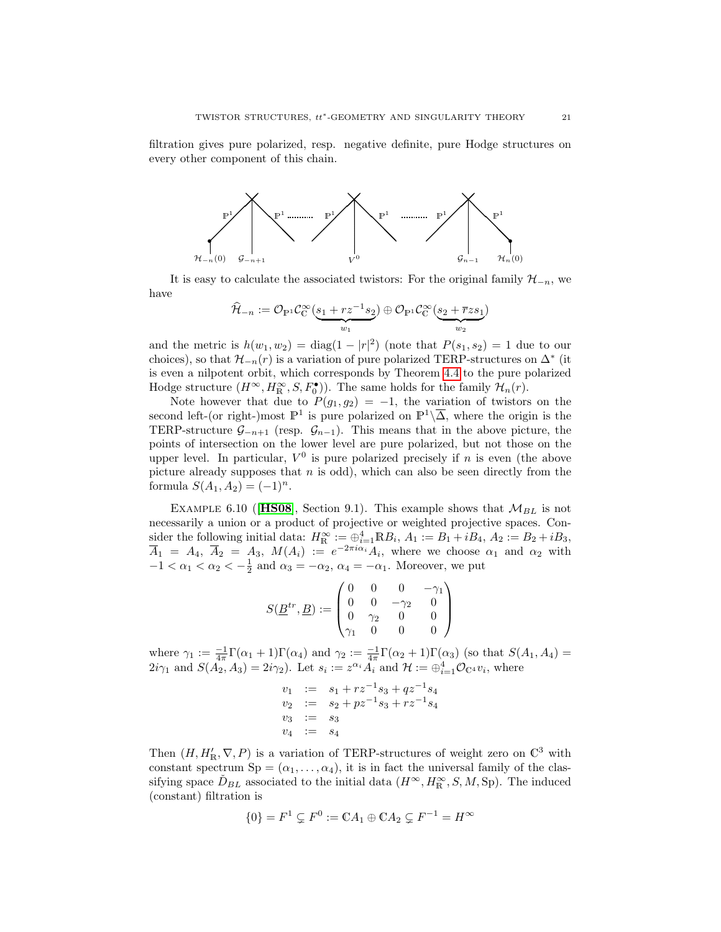filtration gives pure polarized, resp. negative definite, pure Hodge structures on every other component of this chain.



It is easy to calculate the associated twistors: For the original family  $\mathcal{H}_{-n}$ , we have

$$
\widehat{\mathcal{H}}_{-n} := \mathcal{O}_{\mathbb{P}^1}\mathcal{C}_{\mathbb{C}}^{\infty}(\underbrace{s_1 + rz^{-1}s_2}_{w_1}) \oplus \mathcal{O}_{\mathbb{P}^1}\mathcal{C}_{\mathbb{C}}^{\infty}(\underbrace{s_2 + \overline{r}zs_1}_{w_2})
$$

and the metric is  $h(w_1, w_2) = \text{diag}(1 - |r|^2)$  (note that  $P(s_1, s_2) = 1$  due to our choices), so that  $\mathcal{H}_{-n}(r)$  is a variation of pure polarized TERP-structures on  $\Delta^*$  (it is even a nilpotent orbit, which corresponds by Theorem [4.4](#page-10-0) to the pure polarized Hodge structure  $(H^{\infty}, H^{\infty}_{R}, S, F^{•}_{0})$ . The same holds for the family  $\mathcal{H}_{n}(r)$ .

Note however that due to  $P(g_1, g_2) = -1$ , the variation of twistors on the second left-(or right-)most  $\mathbb{P}^1$  is pure polarized on  $\mathbb{P}^1\backslash\overline{\Delta}$ , where the origin is the TERP-structure  $\mathcal{G}_{-n+1}$  (resp.  $\mathcal{G}_{n-1}$ ). This means that in the above picture, the points of intersection on the lower level are pure polarized, but not those on the upper level. In particular,  $V^0$  is pure polarized precisely if n is even (the above picture already supposes that  $n$  is odd), which can also be seen directly from the formula  $S(A_1, A_2) = (-1)^n$ .

EXAMPLE 6.10 (**[HS08](#page-23-6)**, Section 9.1). This example shows that  $M_{BL}$  is not necessarily a union or a product of projective or weighted projective spaces. Consider the following initial data:  $H_{\mathbb{R}}^{\infty} := \bigoplus_{i=1}^{4} \mathbb{R}B_i$ ,  $A_1 := B_1 + iB_4$ ,  $A_2 := B_2 + iB_3$ ,  $\overline{A}_1 = A_4, \ \overline{A}_2 = A_3, \ M(A_i) := e^{-2\pi i \alpha_i} A_i$ , where we choose  $\alpha_1$  and  $\alpha_2$  with  $-1 < \alpha_1 < \alpha_2 < -\frac{1}{2}$  and  $\alpha_3 = -\alpha_2$ ,  $\alpha_4 = -\alpha_1$ . Moreover, we put

$$
S(\underline{B}^{tr}, \underline{B}) := \begin{pmatrix} 0 & 0 & 0 & -\gamma_1 \\ 0 & 0 & -\gamma_2 & 0 \\ 0 & \gamma_2 & 0 & 0 \\ \gamma_1 & 0 & 0 & 0 \end{pmatrix}
$$

where  $\gamma_1 := \frac{-1}{4\pi} \Gamma(\alpha_1 + 1) \Gamma(\alpha_4)$  and  $\gamma_2 := \frac{-1}{4\pi} \Gamma(\alpha_2 + 1) \Gamma(\alpha_3)$  (so that  $S(A_1, A_4)$ )  $2i\gamma_1$  and  $S(A_2, A_3) = 2i\gamma_2$ . Let  $s_i := z^{\alpha_i} A_i$  and  $\mathcal{H} := \bigoplus_{i=1}^4 \mathcal{O}_{\mathbb{C}^4} v_i$ , where

$$
v_1 := s_1 + rz^{-1}s_3 + qz^{-1}s_4
$$
  
\n
$$
v_2 := s_2 + pz^{-1}s_3 + rz^{-1}s_4
$$
  
\n
$$
v_3 := s_3
$$
  
\n
$$
v_4 := s_4
$$

Then  $(H, H'_{\mathbb{R}}, \nabla, P)$  is a variation of TERP-structures of weight zero on  $\mathbb{C}^3$  with constant spectrum  $Sp = (\alpha_1, \ldots, \alpha_4)$ , it is in fact the universal family of the classifying space  $\check{D}_{BL}$  associated to the initial data  $(H^{\infty}, H^{\infty}_{R}, S, M, Sp)$ . The induced (constant) filtration is

$$
\{0\} = F^1 \subsetneq F^0 := \mathbb{C} A_1 \oplus \mathbb{C} A_2 \subsetneq F^{-1} = H^\infty
$$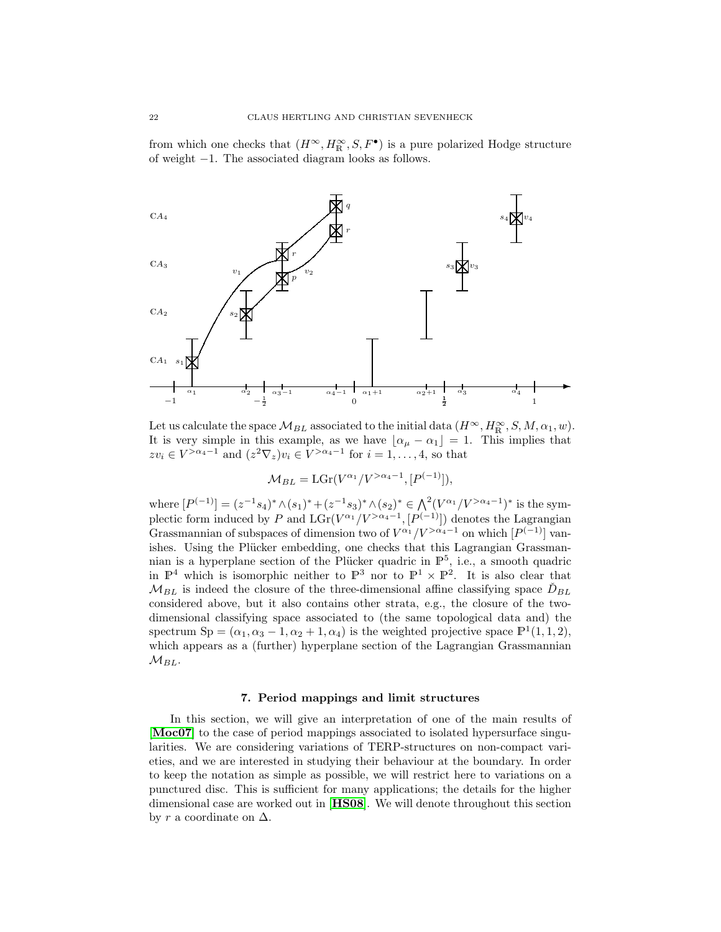from which one checks that  $(H^{\infty}, H^{\infty}_{R}, S, F^{\bullet})$  is a pure polarized Hodge structure of weight −1. The associated diagram looks as follows.



Let us calculate the space  $\mathcal{M}_{BL}$  associated to the initial data  $(H^{\infty}, H^{\infty}_{R}, S, M, \alpha_1, w)$ . It is very simple in this example, as we have  $\lfloor \alpha_\mu - \alpha_1 \rfloor = 1$ . This implies that  $zv_i \in V^{>\alpha_4-1}$  and  $(z^2 \nabla_z)v_i \in V^{>\alpha_4-1}$  for  $i=1,\ldots,4$ , so that

$$
\mathcal{M}_{BL} = \mathcal{L}\mathcal{G}\mathbf{r}(V^{\alpha_1}/V^{>\alpha_4-1}, [P^{(-1)}]),
$$

where  $[P^{(-1)}] = (z^{-1}s_4)^* \wedge (s_1)^* + (z^{-1}s_3)^* \wedge (s_2)^* \in \bigwedge^2 (V^{\alpha_1}/V^{>\alpha_4-1})^*$  is the symplectic form induced by P and  $LGr(V^{\alpha_1}/V^{>\alpha_4-1}, [P^{(-1)}])$  denotes the Lagrangian Grassmannian of subspaces of dimension two of  $V^{\alpha_1}/V^{>\alpha_4-1}$  on which  $[P^{(-1)}]$  vanishes. Using the Plücker embedding, one checks that this Lagrangian Grassmannian is a hyperplane section of the Plücker quadric in  $\mathbb{P}^5$ , i.e., a smooth quadric in  $\mathbb{P}^4$  which is isomorphic neither to  $\mathbb{P}^3$  nor to  $\mathbb{P}^1 \times \mathbb{P}^2$ . It is also clear that  $M_{BL}$  is indeed the closure of the three-dimensional affine classifying space  $\check{D}_{BL}$ considered above, but it also contains other strata, e.g., the closure of the twodimensional classifying space associated to (the same topological data and) the spectrum Sp =  $(\alpha_1, \alpha_3 - 1, \alpha_2 + 1, \alpha_4)$  is the weighted projective space  $\mathbb{P}^1(1,1,2)$ , which appears as a (further) hyperplane section of the Lagrangian Grassmannian  $M_{BL}$ .

## 7. Period mappings and limit structures

<span id="page-21-0"></span>In this section, we will give an interpretation of one of the main results of [[Moc07](#page-24-5)] to the case of period mappings associated to isolated hypersurface singularities. We are considering variations of TERP-structures on non-compact varieties, and we are interested in studying their behaviour at the boundary. In order to keep the notation as simple as possible, we will restrict here to variations on a punctured disc. This is sufficient for many applications; the details for the higher dimensional case are worked out in [[HS08](#page-23-6)]. We will denote throughout this section by r a coordinate on  $\Delta$ .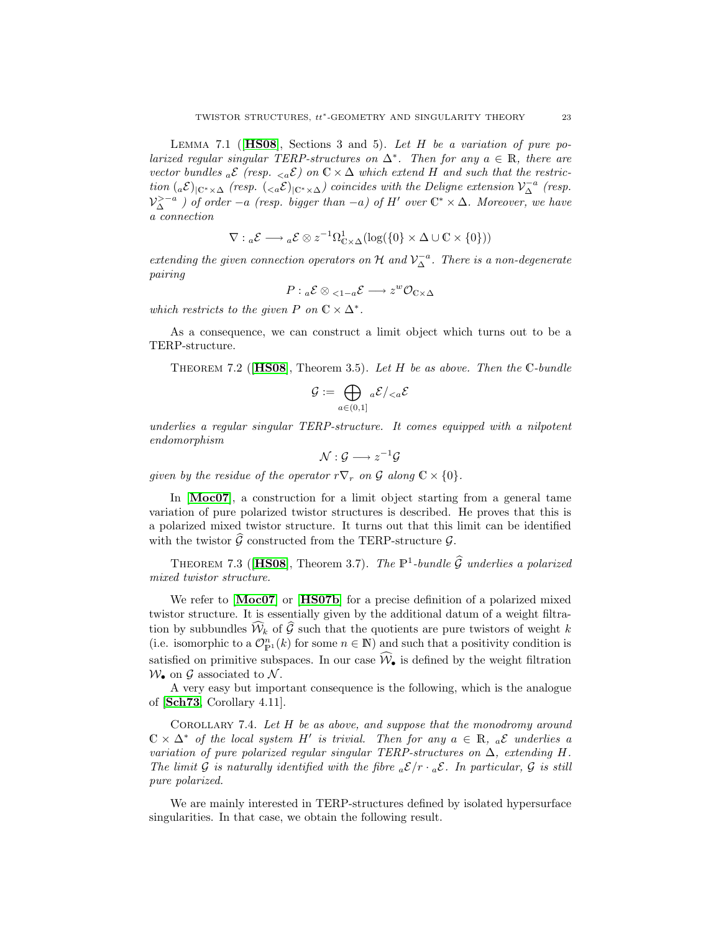LEMMA 7.1 ( $[HS08]$  $[HS08]$  $[HS08]$ , Sections 3 and 5). Let H be a variation of pure polarized regular singular TERP-structures on  $\Delta^*$ . Then for any  $a \in \mathbb{R}$ , there are vector bundles  ${}_{a}\mathcal{E}$  (resp.  ${}_{\leq a}\mathcal{E}$ ) on  $\mathbb{C}\times\Delta$  which extend H and such that the restriction  $(a\mathcal{E})_{\vert \mathbb{C}^*\times\Delta}$  (resp.  $(\langle a\mathcal{E})_{\vert \mathbb{C}^*\times\Delta}$ ) coincides with the Deligne extension  $\mathcal{V}_{\Delta}^{-a}$  (resp.  $\mathcal{V}_{\Delta}^{> -a}$ ) of order  $-a$  (resp. bigger than  $-a$ ) of H' over  $\mathbb{C}^* \times \Delta$ . Moreover, we have a connection

$$
\nabla: {}_{a}\mathcal{E} \longrightarrow {}_{a}\mathcal{E} \otimes z^{-1}\Omega^{1}_{\mathbb{C}\times\Delta}(\log(\{0\}\times\Delta\cup\mathbb{C}\times\{0\}))
$$

extending the given connection operators on  $\mathcal H$  and  $\mathcal V^{-a}_{\Delta}$ . There is a non-degenerate pairing

$$
P: {}_{a} \mathcal{E} \otimes {}_{<1-a} \mathcal{E} \longrightarrow z^{w} \mathcal{O}_{\mathbb{C} \times \Delta}
$$

which restricts to the given P on  $\mathbb{C} \times \Delta^*$ .

As a consequence, we can construct a limit object which turns out to be a TERP-structure.

THEOREM 7.2 ( $[HS08]$  $[HS08]$  $[HS08]$ , Theorem 3.5). Let H be as above. Then the C-bundle

$$
\mathcal{G}:=\bigoplus_{a\in(0,1]}{}_{a}\mathcal{E}/_{
$$

underlies a regular singular TERP-structure. It comes equipped with a nilpotent endomorphism

$$
\mathcal{N}:\mathcal{G}\longrightarrow z^{-1}\mathcal{G}
$$

given by the residue of the operator  $r\nabla_r$  on G along  $\mathbb{C}\times\{0\}$ .

In [[Moc07](#page-24-5)], a construction for a limit object starting from a general tame variation of pure polarized twistor structures is described. He proves that this is a polarized mixed twistor structure. It turns out that this limit can be identified with the twistor  $\widehat{G}$  constructed from the TERP-structure  $\mathcal{G}$ .

THEOREM 7.3 ([[HS08](#page-23-6)], Theorem 3.7). The  $\mathbb{P}^1$ -bundle  $\widehat{\mathcal{G}}$  underlies a polarized mixed twistor structure.

We refer to [[Moc07](#page-24-5)] or [[HS07b](#page-23-4)] for a precise definition of a polarized mixed twistor structure. It is essentially given by the additional datum of a weight filtration by subbundles  $\widehat{\mathcal{W}}_k$  of  $\widehat{\mathcal{G}}$  such that the quotients are pure twistors of weight k (i.e. isomorphic to a  $\mathcal{O}_{\mathbb{P}^1}^n(k)$  for some  $n \in \mathbb{N}$ ) and such that a positivity condition is satisfied on primitive subspaces. In our case  $\widehat{\mathcal{W}}_{\bullet}$  is defined by the weight filtration  $W_{\bullet}$  on G associated to N.

A very easy but important consequence is the following, which is the analogue of [[Sch73](#page-24-14), Corollary 4.11].

COROLLARY 7.4. Let  $H$  be as above, and suppose that the monodromy around  $\mathbb{C} \times \Delta^*$  of the local system H' is trivial. Then for any  $a \in \mathbb{R}$ ,  $_a\mathcal{E}$  underlies a variation of pure polarized regular singular TERP-structures on  $\Delta$ , extending H. The limit G is naturally identified with the fibre  ${}_{a}\mathcal{E}/r \cdot {}_{a}\mathcal{E}$ . In particular, G is still pure polarized.

We are mainly interested in TERP-structures defined by isolated hypersurface singularities. In that case, we obtain the following result.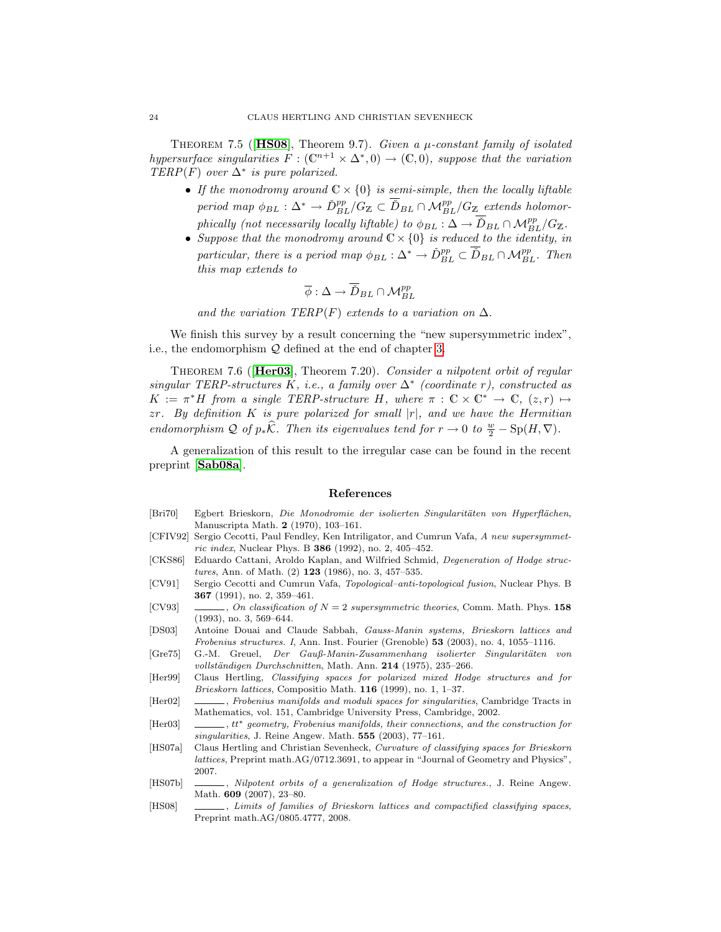THEOREM 7.5 ( $[HS08]$  $[HS08]$  $[HS08]$ , Theorem 9.7). Given a  $\mu$ -constant family of isolated hypersurface singularities  $F : (\mathbb{C}^{n+1} \times \Delta^*, 0) \to (\mathbb{C}, 0)$ , suppose that the variation TERP(F) over  $\Delta^*$  is pure polarized.

- If the monodromy around  $\mathbb{C} \times \{0\}$  is semi-simple, then the locally liftable period map  $\phi_{BL} : \Delta^* \to \check{D}_{BL}^{pp}/G_{\mathbb{Z}} \subset \overline{\check{D}}_{BL} \cap \mathcal{M}_{BL}^{pp}/G_{\mathbb{Z}}$  extends holomorphically (not necessarily locally liftable) to  $\phi_{BL} : \Delta \to \overline{D}_{BL} \cap \mathcal{M}_{BL}^{pp}/G_{\mathbb{Z}}$ .
- Suppose that the monodromy around  $\mathbb{C} \times \{0\}$  is reduced to the identity, in particular, there is a period map  $\phi_{BL} : \Delta^* \to \check{D}_{BL}^{pp} \subset \overline{\check{D}}_{BL} \cap \mathcal{M}_{BL}^{pp}$ . Then this map extends to

$$
\overline{\phi} : \Delta \to \overline{\check{D}}_{BL} \cap \mathcal{M}_{BL}^{pp}
$$

and the variation TERP(F) extends to a variation on  $\Delta$ .

We finish this survey by a result concerning the "new supersymmetric index", i.e., the endomorphism Q defined at the end of chapter [3.](#page-5-1)

THEOREM 7.6 ([Her03](#page-23-2)), Theorem 7.20). Consider a nilpotent orbit of regular singular TERP-structures K, i.e., a family over  $\Delta^*$  (coordinate r), constructed as  $K := \pi^* H$  from a single TERP-structure H, where  $\pi : \mathbb{C} \times \mathbb{C}^* \to \mathbb{C}, (z,r) \mapsto$  $zr$ . By definition K is pure polarized for small  $|r|$ , and we have the Hermitian endomorphism Q of  $p_*\hat{\mathcal{K}}$ . Then its eigenvalues tend for  $r \to 0$  to  $\frac{w}{2} - \text{Sp}(H, \nabla)$ .

A generalization of this result to the irregular case can be found in the recent preprint [[Sab08a](#page-24-18)].

## References

- <span id="page-23-7"></span>[Bri70] Egbert Brieskorn, Die Monodromie der isolierten Singularitäten von Hyperflächen, Manuscripta Math. 2 (1970), 103–161.
- <span id="page-23-9"></span>[CFIV92] Sergio Cecotti, Paul Fendley, Ken Intriligator, and Cumrun Vafa, A new supersymmetric index, Nuclear Phys. B 386 (1992), no. 2, 405–452.
- <span id="page-23-11"></span>[CKS86] Eduardo Cattani, Aroldo Kaplan, and Wilfried Schmid, Degeneration of Hodge structures, Ann. of Math. (2) 123 (1986), no. 3, 457–535.
- <span id="page-23-0"></span>[CV91] Sergio Cecotti and Cumrun Vafa, Topological–anti-topological fusion, Nuclear Phys. B 367 (1991), no. 2, 359–461.
- <span id="page-23-1"></span>[CV93]  $\qquad \qquad \qquad$ , On classification of  $N = 2$  supersymmetric theories, Comm. Math. Phys. 158 (1993), no. 3, 569–644.
- <span id="page-23-3"></span>[DS03] Antoine Douai and Claude Sabbah, Gauss-Manin systems, Brieskorn lattices and Frobenius structures. I, Ann. Inst. Fourier (Grenoble) 53 (2003), no. 4, 1055–1116.
- <span id="page-23-8"></span>[Gre75] G.-M. Greuel, Der Gauß-Manin-Zusammenhang isolierter Singularitäten von vollständigen Durchschnitten, Math. Ann. 214 (1975), 235-266.
- <span id="page-23-12"></span>[Her99] Claus Hertling, Classifying spaces for polarized mixed Hodge structures and for Brieskorn lattices, Compositio Math. 116 (1999), no. 1, 1–37.
- <span id="page-23-10"></span>[Her02] , Frobenius manifolds and moduli spaces for singularities, Cambridge Tracts in Mathematics, vol. 151, Cambridge University Press, Cambridge, 2002.
- <span id="page-23-2"></span>[Her03] , tt\* geometry, Frobenius manifolds, their connections, and the construction for singularities, J. Reine Angew. Math. **555** (2003), 77-161.
- <span id="page-23-5"></span>[HS07a] Claus Hertling and Christian Sevenheck, Curvature of classifying spaces for Brieskorn lattices, Preprint math.AG/0712.3691, to appear in "Journal of Geometry and Physics", 2007.
- <span id="page-23-4"></span>[HS07b]  $\qquad \qquad$  Nilpotent orbits of a generalization of Hodge structures., J. Reine Angew. Math. 609 (2007), 23–80.
- <span id="page-23-6"></span>[HS08] , Limits of families of Brieskorn lattices and compactified classifying spaces, Preprint math.AG/0805.4777, 2008.